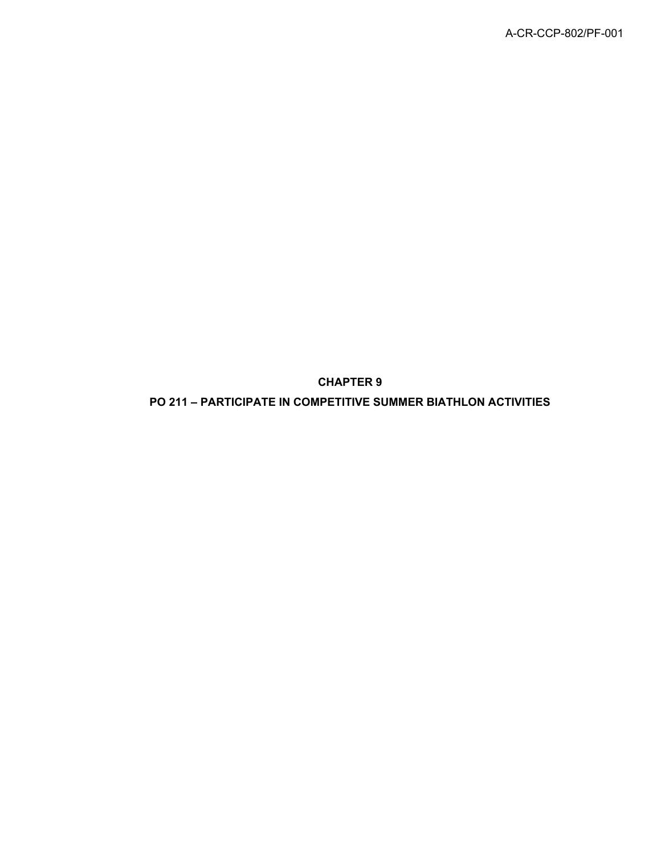CHAPTER 9

PO 211 – PARTICIPATE IN COMPETITIVE SUMMER BIATHLON ACTIVITIES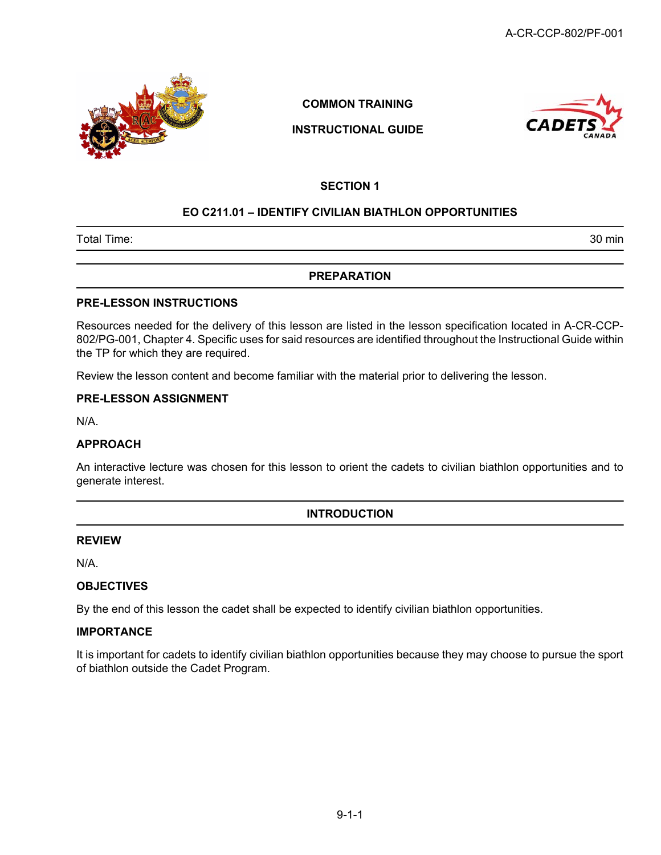

COMMON TRAINING

INSTRUCTIONAL GUIDE



#### SECTION 1

#### EO C211.01 – IDENTIFY CIVILIAN BIATHLON OPPORTUNITIES

Total Time: 30 min

#### PREPARATION

#### PRE-LESSON INSTRUCTIONS

Resources needed for the delivery of this lesson are listed in the lesson specification located in A-CR-CCP-802/PG-001, Chapter 4. Specific uses for said resources are identified throughout the Instructional Guide within the TP for which they are required.

Review the lesson content and become familiar with the material prior to delivering the lesson.

#### PRE-LESSON ASSIGNMENT

N/A.

#### APPROACH

An interactive lecture was chosen for this lesson to orient the cadets to civilian biathlon opportunities and to generate interest.

#### INTRODUCTION

#### REVIEW

N/A.

#### **OBJECTIVES**

By the end of this lesson the cadet shall be expected to identify civilian biathlon opportunities.

#### **IMPORTANCE**

It is important for cadets to identify civilian biathlon opportunities because they may choose to pursue the sport of biathlon outside the Cadet Program.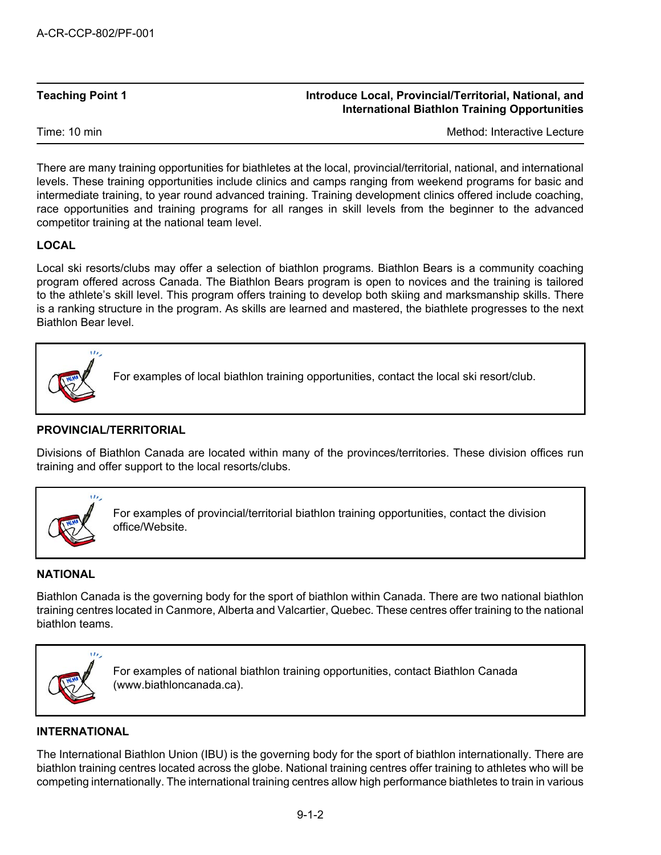### Teaching Point 1 **Introduce Local, Provincial/Territorial, National, and** International Biathlon Training Opportunities

Time: 10 min Method: Interactive Lecture Communication of the Method: Interactive Lecture

There are many training opportunities for biathletes at the local, provincial/territorial, national, and international levels. These training opportunities include clinics and camps ranging from weekend programs for basic and intermediate training, to year round advanced training. Training development clinics offered include coaching, race opportunities and training programs for all ranges in skill levels from the beginner to the advanced competitor training at the national team level.

#### LOCAL

Local ski resorts/clubs may offer a selection of biathlon programs. Biathlon Bears is a community coaching program offered across Canada. The Biathlon Bears program is open to novices and the training is tailored to the athlete's skill level. This program offers training to develop both skiing and marksmanship skills. There is a ranking structure in the program. As skills are learned and mastered, the biathlete progresses to the next Biathlon Bear level.



For examples of local biathlon training opportunities, contact the local ski resort/club.

### PROVINCIAL/TERRITORIAL

Divisions of Biathlon Canada are located within many of the provinces/territories. These division offices run training and offer support to the local resorts/clubs.



For examples of provincial/territorial biathlon training opportunities, contact the division office/Website.

### NATIONAL

Biathlon Canada is the governing body for the sport of biathlon within Canada. There are two national biathlon training centres located in Canmore, Alberta and Valcartier, Quebec. These centres offer training to the national biathlon teams.



For examples of national biathlon training opportunities, contact Biathlon Canada (www.biathloncanada.ca).

### INTERNATIONAL

The International Biathlon Union (IBU) is the governing body for the sport of biathlon internationally. There are biathlon training centres located across the globe. National training centres offer training to athletes who will be competing internationally. The international training centres allow high performance biathletes to train in various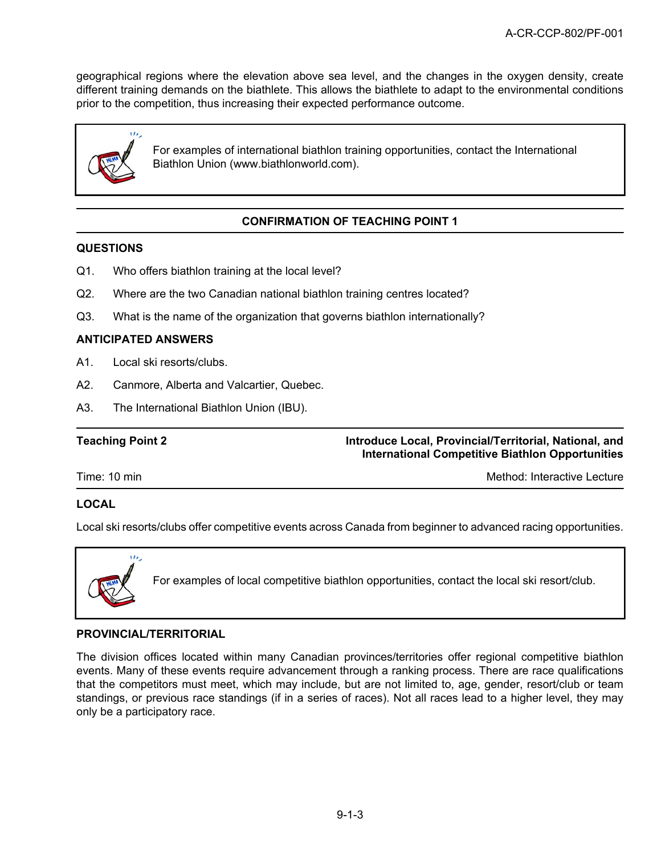geographical regions where the elevation above sea level, and the changes in the oxygen density, create different training demands on the biathlete. This allows the biathlete to adapt to the environmental conditions prior to the competition, thus increasing their expected performance outcome.



For examples of international biathlon training opportunities, contact the International Biathlon Union (www.biathlonworld.com).

#### CONFIRMATION OF TEACHING POINT 1

#### **QUESTIONS**

- Q1. Who offers biathlon training at the local level?
- Q2. Where are the two Canadian national biathlon training centres located?
- Q3. What is the name of the organization that governs biathlon internationally?

#### ANTICIPATED ANSWERS

- A1. Local ski resorts/clubs.
- A2. Canmore, Alberta and Valcartier, Quebec.
- A3. The International Biathlon Union (IBU).

#### Teaching Point 2 **Introduce Local, Provincial/Territorial, National, and** International Competitive Biathlon Opportunities

Time: 10 min Method: Interactive Lecture

#### LOCAL

Local ski resorts/clubs offer competitive events across Canada from beginner to advanced racing opportunities.



For examples of local competitive biathlon opportunities, contact the local ski resort/club.

#### PROVINCIAL/TERRITORIAL

The division offices located within many Canadian provinces/territories offer regional competitive biathlon events. Many of these events require advancement through a ranking process. There are race qualifications that the competitors must meet, which may include, but are not limited to, age, gender, resort/club or team standings, or previous race standings (if in a series of races). Not all races lead to a higher level, they may only be a participatory race.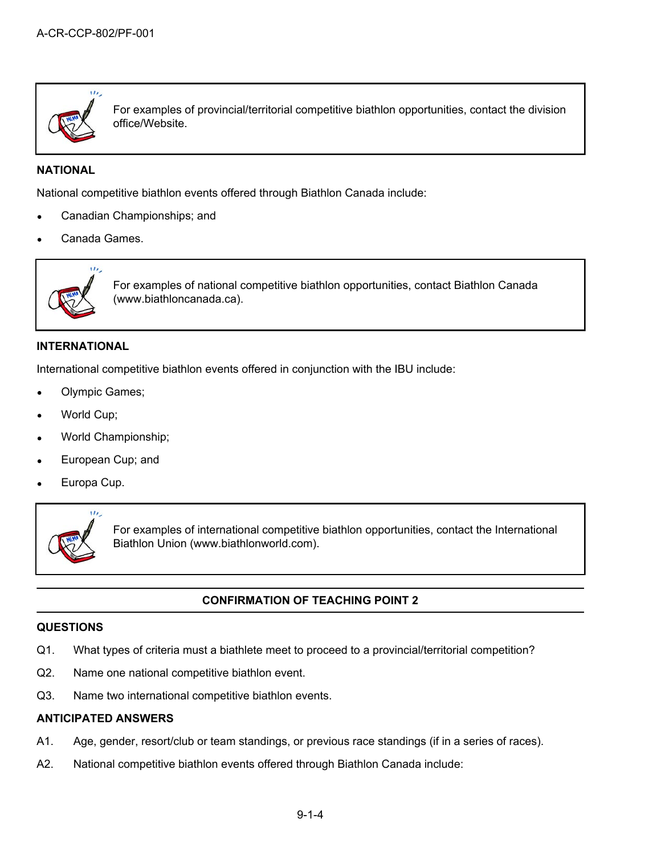

For examples of provincial/territorial competitive biathlon opportunities, contact the division office/Website.

#### **NATIONAL**

National competitive biathlon events offered through Biathlon Canada include:

- Canadian Championships; and
- Canada Games.



For examples of national competitive biathlon opportunities, contact Biathlon Canada (www.biathloncanada.ca).

#### INTERNATIONAL

International competitive biathlon events offered in conjunction with the IBU include:

- Olympic Games;
- World Cup;
- World Championship;
- European Cup; and
- Europa Cup.



For examples of international competitive biathlon opportunities, contact the International Biathlon Union (www.biathlonworld.com).

### CONFIRMATION OF TEACHING POINT 2

#### **QUESTIONS**

- Q1. What types of criteria must a biathlete meet to proceed to a provincial/territorial competition?
- Q2. Name one national competitive biathlon event.
- Q3. Name two international competitive biathlon events.

#### ANTICIPATED ANSWERS

- A1. Age, gender, resort/club or team standings, or previous race standings (if in a series of races).
- A2. National competitive biathlon events offered through Biathlon Canada include: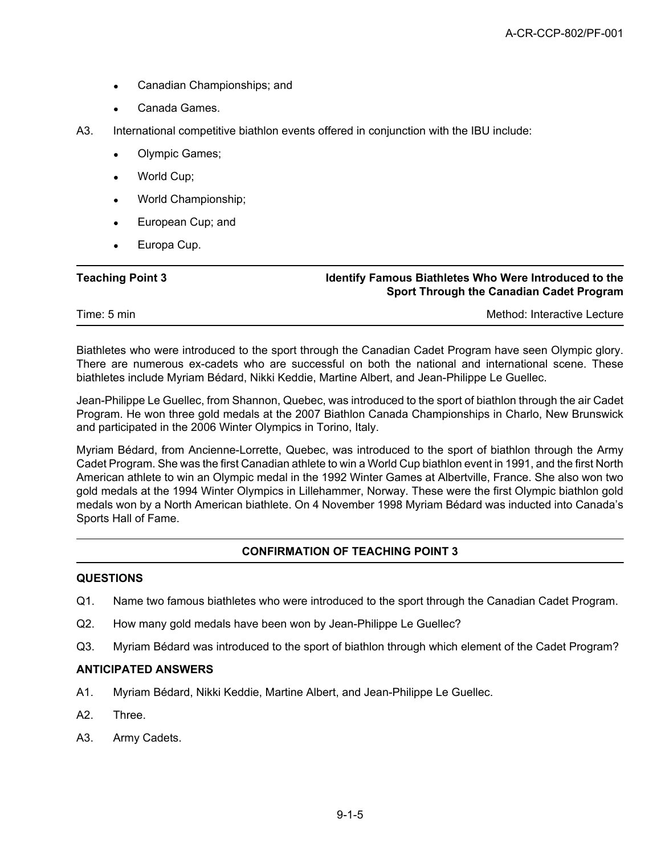- Canadian Championships; and  $\bullet$
- Canada Games.
- A3. International competitive biathlon events offered in conjunction with the IBU include:
	- $\bullet$ Olympic Games;
	- $\bullet$ World Cup;
	- World Championship;  $\bullet$
	- $\bullet$ European Cup; and
	- $\bullet$ Europa Cup.

| <b>Teaching Point 3</b> | <b>Identify Famous Biathletes Who Were Introduced to the</b><br><b>Sport Through the Canadian Cadet Program</b> |
|-------------------------|-----------------------------------------------------------------------------------------------------------------|
| Time: 5 min             | Method: Interactive Lecture                                                                                     |
|                         |                                                                                                                 |

Biathletes who were introduced to the sport through the Canadian Cadet Program have seen Olympic glory. There are numerous ex-cadets who are successful on both the national and international scene. These biathletes include Myriam Bédard, Nikki Keddie, Martine Albert, and Jean-Philippe Le Guellec.

Jean-Philippe Le Guellec, from Shannon, Quebec, was introduced to the sport of biathlon through the air Cadet Program. He won three gold medals at the 2007 Biathlon Canada Championships in Charlo, New Brunswick and participated in the 2006 Winter Olympics in Torino, Italy.

Myriam Bédard, from Ancienne-Lorrette, Quebec, was introduced to the sport of biathlon through the Army Cadet Program. She was the first Canadian athlete to win a World Cup biathlon event in 1991, and the first North American athlete to win an Olympic medal in the 1992 Winter Games at Albertville, France. She also won two gold medals at the 1994 Winter Olympics in Lillehammer, Norway. These were the first Olympic biathlon gold medals won by a North American biathlete. On 4 November 1998 Myriam Bédard was inducted into Canada's Sports Hall of Fame.

### CONFIRMATION OF TEACHING POINT 3

#### **QUESTIONS**

- Q1. Name two famous biathletes who were introduced to the sport through the Canadian Cadet Program.
- Q2. How many gold medals have been won by Jean-Philippe Le Guellec?
- Q3. Myriam Bédard was introduced to the sport of biathlon through which element of the Cadet Program?

#### ANTICIPATED ANSWERS

- A1. Myriam Bédard, Nikki Keddie, Martine Albert, and Jean-Philippe Le Guellec.
- A2. Three.
- A3. Army Cadets.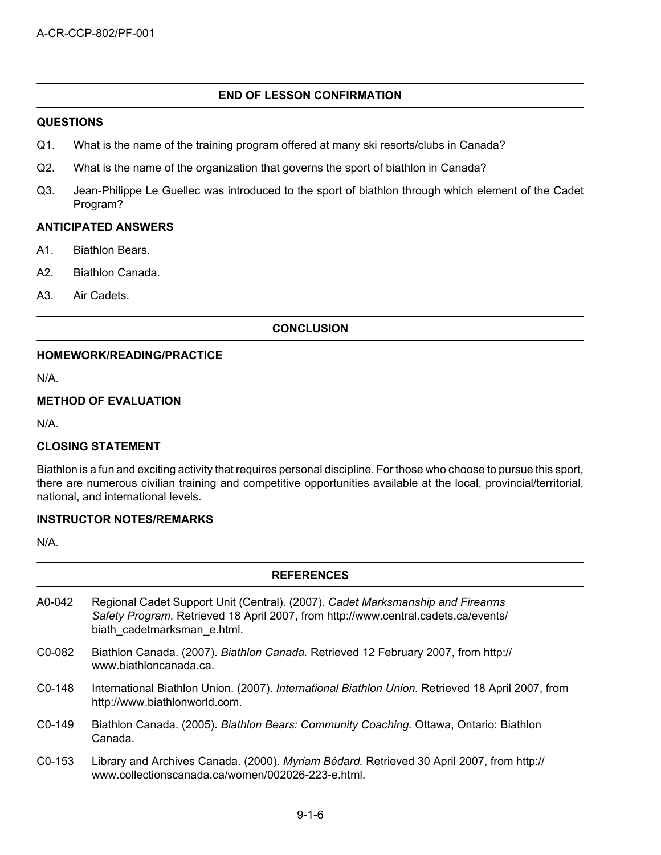### END OF LESSON CONFIRMATION

#### **QUESTIONS**

- Q1. What is the name of the training program offered at many ski resorts/clubs in Canada?
- Q2. What is the name of the organization that governs the sport of biathlon in Canada?
- Q3. Jean-Philippe Le Guellec was introduced to the sport of biathlon through which element of the Cadet Program?

#### ANTICIPATED ANSWERS

- A1. Biathlon Bears.
- A2. Biathlon Canada.
- A3. Air Cadets.

#### **CONCLUSION**

#### HOMEWORK/READING/PRACTICE

N/A.

#### METHOD OF EVALUATION

N/A.

#### CLOSING STATEMENT

Biathlon is a fun and exciting activity that requires personal discipline. For those who choose to pursue this sport, there are numerous civilian training and competitive opportunities available at the local, provincial/territorial, national, and international levels.

#### INSTRUCTOR NOTES/REMARKS

N/A.

#### **REFERENCES**

- A0-042 Regional Cadet Support Unit (Central). (2007). Cadet Marksmanship and Firearms Safety Program. Retrieved 18 April 2007, from http://www.central.cadets.ca/events/ biath\_cadetmarksman\_e.html.
- C0-082 Biathlon Canada. (2007). Biathlon Canada. Retrieved 12 February 2007, from http:// www.biathloncanada.ca.
- C0-148 International Biathlon Union. (2007). International Biathlon Union. Retrieved 18 April 2007, from http://www.biathlonworld.com.
- C0-149 Biathlon Canada. (2005). Biathlon Bears: Community Coaching. Ottawa, Ontario: Biathlon Canada.
- C0-153 Library and Archives Canada. (2000). Myriam Bédard. Retrieved 30 April 2007, from http:// www.collectionscanada.ca/women/002026-223-e.html.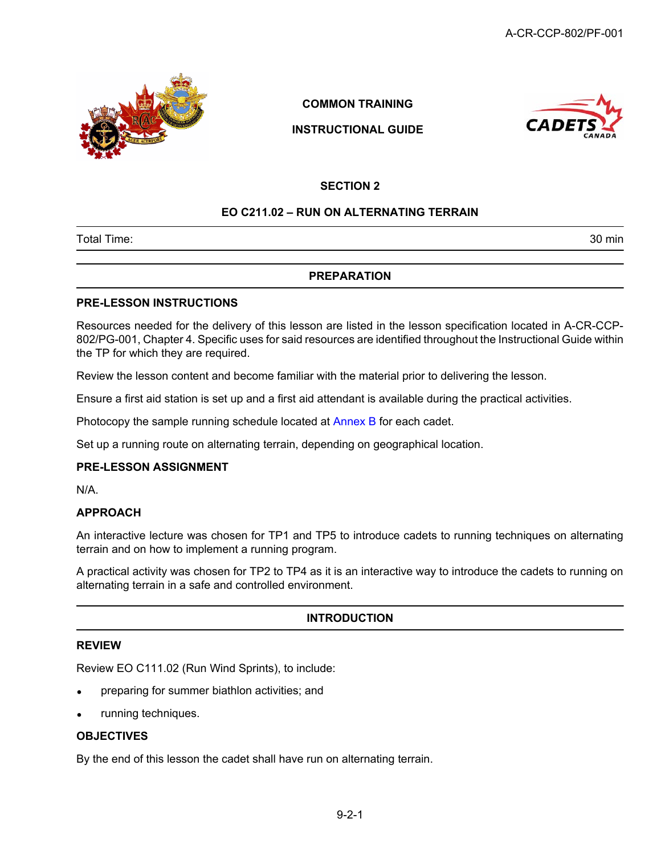

COMMON TRAINING

INSTRUCTIONAL GUIDE



#### SECTION 2

#### EO C211.02 – RUN ON ALTERNATING TERRAIN

Total Time: 30 min

#### PREPARATION

#### PRE-LESSON INSTRUCTIONS

Resources needed for the delivery of this lesson are listed in the lesson specification located in A-CR-CCP-802/PG-001, Chapter 4. Specific uses for said resources are identified throughout the Instructional Guide within the TP for which they are required.

Review the lesson content and become familiar with the material prior to delivering the lesson.

Ensure a first aid station is set up and a first aid attendant is available during the practical activities.

Photocopy the sample running schedule located at Annex B for each cadet.

Set up a running route on alternating terrain, depending on geographical location.

#### PRE-LESSON ASSIGNMENT

N/A.

#### APPROACH

An interactive lecture was chosen for TP1 and TP5 to introduce cadets to running techniques on alternating terrain and on how to implement a running program.

A practical activity was chosen for TP2 to TP4 as it is an interactive way to introduce the cadets to running on alternating terrain in a safe and controlled environment.

### INTRODUCTION

#### REVIEW

Review EO C111.02 (Run Wind Sprints), to include:

- preparing for summer biathlon activities; and
- running techniques.

#### **OBJECTIVES**

By the end of this lesson the cadet shall have run on alternating terrain.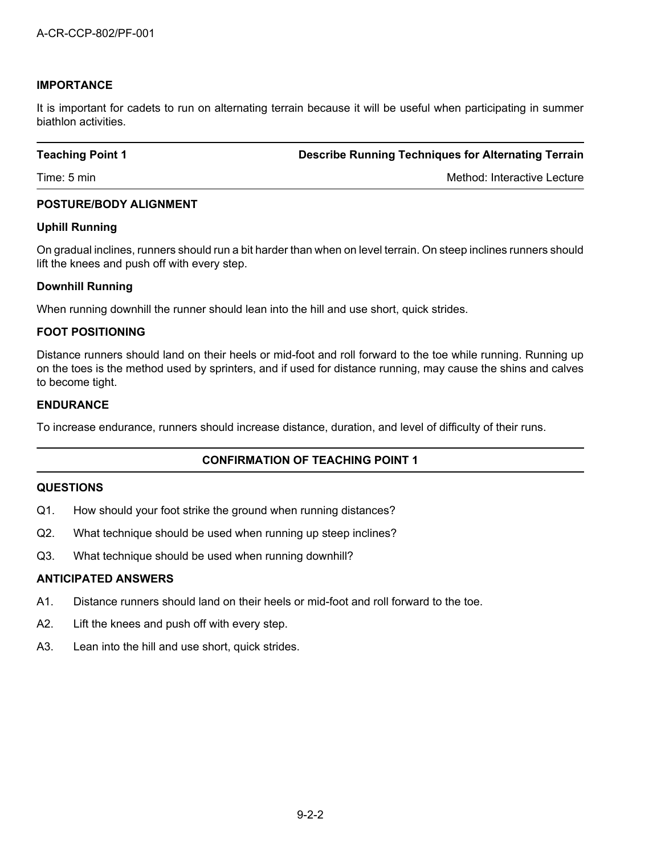#### **IMPORTANCE**

It is important for cadets to run on alternating terrain because it will be useful when participating in summer biathlon activities.

# Teaching Point 1 Describe Running Techniques for Alternating Terrain

Time: 5 min Method: Interactive Lecture Communication of the Method: Interactive Lecture

#### POSTURE/BODY ALIGNMENT

#### Uphill Running

On gradual inclines, runners should run a bit harder than when on level terrain. On steep inclines runners should lift the knees and push off with every step.

#### Downhill Running

When running downhill the runner should lean into the hill and use short, quick strides.

#### FOOT POSITIONING

Distance runners should land on their heels or mid-foot and roll forward to the toe while running. Running up on the toes is the method used by sprinters, and if used for distance running, may cause the shins and calves to become tight.

#### ENDURANCE

To increase endurance, runners should increase distance, duration, and level of difficulty of their runs.

### CONFIRMATION OF TEACHING POINT 1

#### **QUESTIONS**

- Q1. How should your foot strike the ground when running distances?
- Q2. What technique should be used when running up steep inclines?
- Q3. What technique should be used when running downhill?

#### ANTICIPATED ANSWERS

- A1. Distance runners should land on their heels or mid-foot and roll forward to the toe.
- A2. Lift the knees and push off with every step.
- A3. Lean into the hill and use short, quick strides.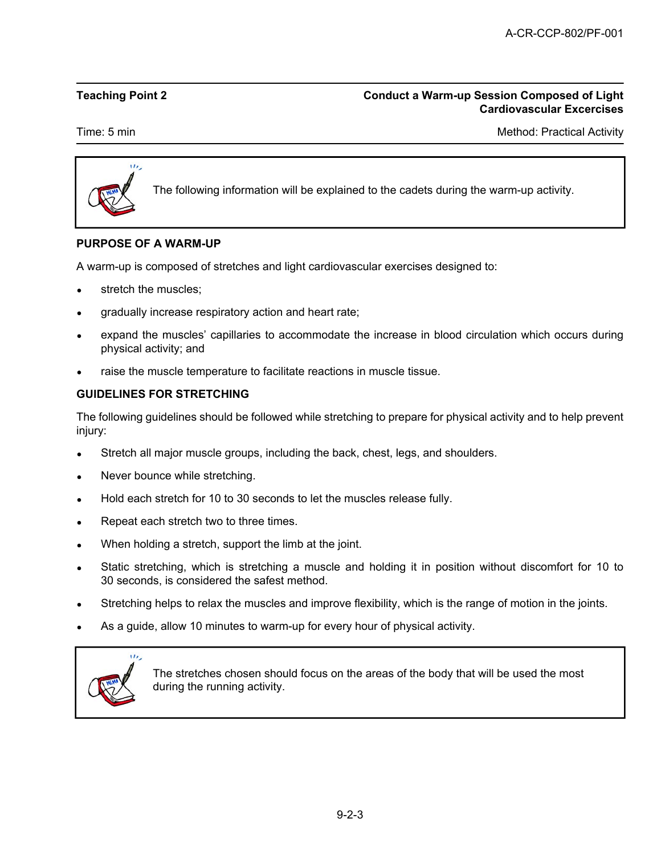#### Teaching Point 2 Conduct a Warm-up Session Composed of Light Cardiovascular Excercises

Time: 5 min Method: Practical Activity and Time: 5 min Method: Practical Activity



The following information will be explained to the cadets during the warm-up activity.

#### PURPOSE OF A WARM-UP

A warm-up is composed of stretches and light cardiovascular exercises designed to:

- stretch the muscles;
- gradually increase respiratory action and heart rate;
- expand the muscles' capillaries to accommodate the increase in blood circulation which occurs during physical activity; and
- raise the muscle temperature to facilitate reactions in muscle tissue.

#### GUIDELINES FOR STRETCHING

The following guidelines should be followed while stretching to prepare for physical activity and to help prevent injury:

- Stretch all major muscle groups, including the back, chest, legs, and shoulders.
- Never bounce while stretching.
- Hold each stretch for 10 to 30 seconds to let the muscles release fully.
- Repeat each stretch two to three times.
- When holding a stretch, support the limb at the joint.
- Static stretching, which is stretching a muscle and holding it in position without discomfort for 10 to 30 seconds, is considered the safest method.
- Stretching helps to relax the muscles and improve flexibility, which is the range of motion in the joints.
- As a guide, allow 10 minutes to warm-up for every hour of physical activity.



The stretches chosen should focus on the areas of the body that will be used the most during the running activity.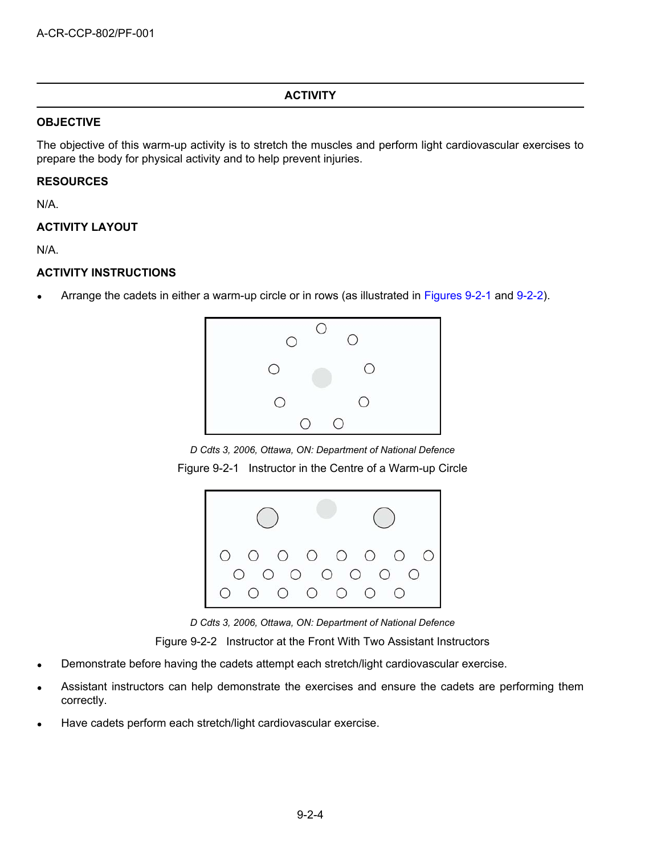### **ACTIVITY**

#### **OBJECTIVE**

The objective of this warm-up activity is to stretch the muscles and perform light cardiovascular exercises to prepare the body for physical activity and to help prevent injuries.

#### **RESOURCES**

N/A.

### ACTIVITY LAYOUT

N/A.

### ACTIVITY INSTRUCTIONS

Arrange the cadets in either a warm-up circle or in rows (as illustrated in Figures 9-2-1 and 9-2-2).







D Cdts 3, 2006, Ottawa, ON: Department of National Defence

Figure 9-2-2 Instructor at the Front With Two Assistant Instructors

- Demonstrate before having the cadets attempt each stretch/light cardiovascular exercise.
- Assistant instructors can help demonstrate the exercises and ensure the cadets are performing them correctly.
- Have cadets perform each stretch/light cardiovascular exercise.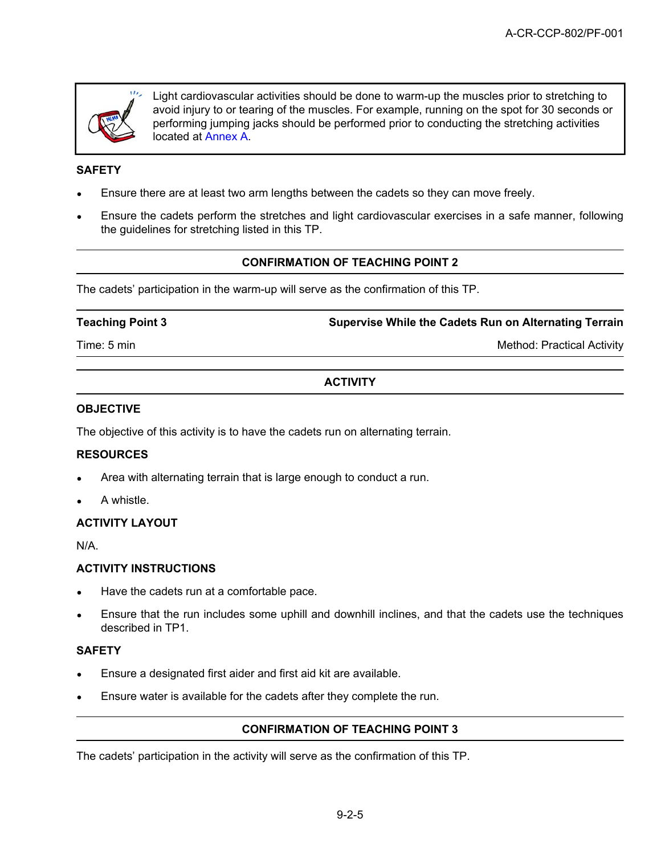

Light cardiovascular activities should be done to warm-up the muscles prior to stretching to avoid injury to or tearing of the muscles. For example, running on the spot for 30 seconds or performing jumping jacks should be performed prior to conducting the stretching activities located at Annex A.

#### **SAFETY**

- Ensure there are at least two arm lengths between the cadets so they can move freely.
- Ensure the cadets perform the stretches and light cardiovascular exercises in a safe manner, following the guidelines for stretching listed in this TP.

#### CONFIRMATION OF TEACHING POINT 2

The cadets' participation in the warm-up will serve as the confirmation of this TP.

Teaching Point 3 The Supervise While the Cadets Run on Alternating Terrain

Time: 5 min Method: Practical Activity

#### **ACTIVITY**

#### **OBJECTIVE**

The objective of this activity is to have the cadets run on alternating terrain.

#### RESOURCES

- Area with alternating terrain that is large enough to conduct a run.
- A whistle.

#### ACTIVITY LAYOUT

N/A.

#### ACTIVITY INSTRUCTIONS

- Have the cadets run at a comfortable pace.
- Ensure that the run includes some uphill and downhill inclines, and that the cadets use the techniques described in TP1.

#### **SAFETY**

- Ensure a designated first aider and first aid kit are available.
- Ensure water is available for the cadets after they complete the run.

#### CONFIRMATION OF TEACHING POINT 3

The cadets' participation in the activity will serve as the confirmation of this TP.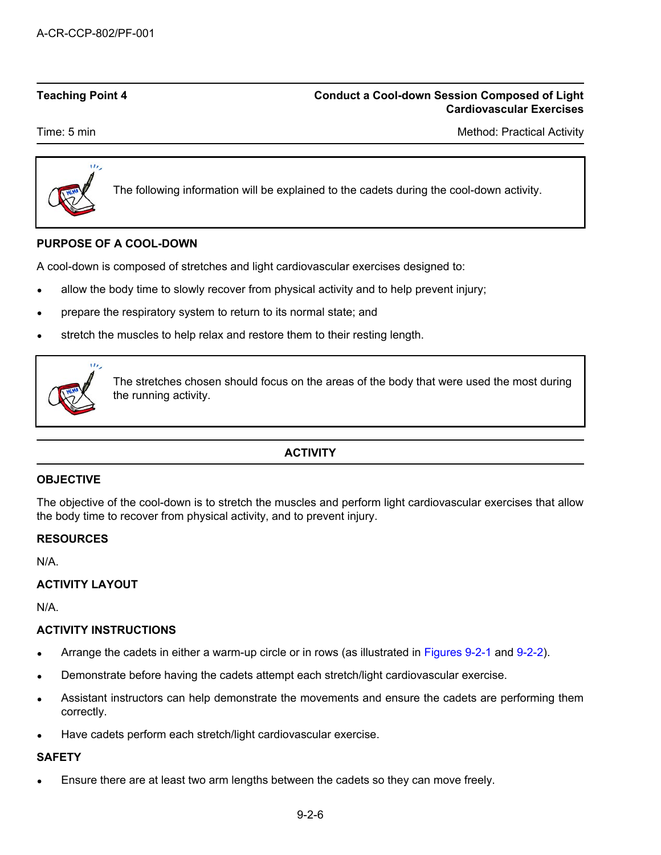### Teaching Point 4 Conduct a Cool-down Session Composed of Light Cardiovascular Exercises

Time: 5 min Method: Practical Activity



The following information will be explained to the cadets during the cool-down activity.

### PURPOSE OF A COOL-DOWN

A cool-down is composed of stretches and light cardiovascular exercises designed to:

- allow the body time to slowly recover from physical activity and to help prevent injury;
- prepare the respiratory system to return to its normal state; and
- stretch the muscles to help relax and restore them to their resting length.



The stretches chosen should focus on the areas of the body that were used the most during the running activity.

#### **ACTIVITY**

#### **OBJECTIVE**

The objective of the cool-down is to stretch the muscles and perform light cardiovascular exercises that allow the body time to recover from physical activity, and to prevent injury.

#### RESOURCES

N/A.

### ACTIVITY LAYOUT

N/A.

### ACTIVITY INSTRUCTIONS

- Arrange the cadets in either a warm-up circle or in rows (as illustrated in Figures 9-2-1 and 9-2-2).
- Demonstrate before having the cadets attempt each stretch/light cardiovascular exercise.
- Assistant instructors can help demonstrate the movements and ensure the cadets are performing them correctly.
- Have cadets perform each stretch/light cardiovascular exercise.

#### **SAFETY**

Ensure there are at least two arm lengths between the cadets so they can move freely.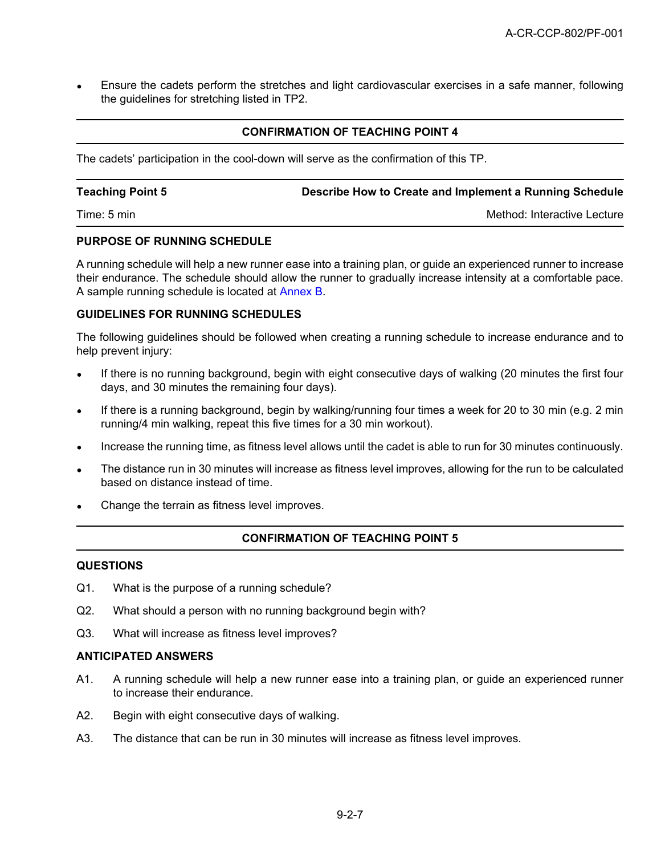Ensure the cadets perform the stretches and light cardiovascular exercises in a safe manner, following the guidelines for stretching listed in TP2.

#### CONFIRMATION OF TEACHING POINT 4

The cadets' participation in the cool-down will serve as the confirmation of this TP.

#### Teaching Point 5 Describe How to Create and Implement a Running Schedule

Time: 5 min Method: Interactive Lecture Communication of the Method: Interactive Lecture

#### PURPOSE OF RUNNING SCHEDULE

A running schedule will help a new runner ease into a training plan, or guide an experienced runner to increase their endurance. The schedule should allow the runner to gradually increase intensity at a comfortable pace. A sample running schedule is located at Annex B.

#### GUIDELINES FOR RUNNING SCHEDULES

The following guidelines should be followed when creating a running schedule to increase endurance and to help prevent injury:

- If there is no running background, begin with eight consecutive days of walking (20 minutes the first four days, and 30 minutes the remaining four days).
- If there is a running background, begin by walking/running four times a week for 20 to 30 min (e.g. 2 min running/4 min walking, repeat this five times for a 30 min workout).
- Increase the running time, as fitness level allows until the cadet is able to run for 30 minutes continuously.
- The distance run in 30 minutes will increase as fitness level improves, allowing for the run to be calculated based on distance instead of time.
- Change the terrain as fitness level improves.

#### CONFIRMATION OF TEACHING POINT 5

#### **QUESTIONS**

- Q1. What is the purpose of a running schedule?
- Q2. What should a person with no running background begin with?
- Q3. What will increase as fitness level improves?

#### ANTICIPATED ANSWERS

- A1. A running schedule will help a new runner ease into a training plan, or guide an experienced runner to increase their endurance.
- A2. Begin with eight consecutive days of walking.
- A3. The distance that can be run in 30 minutes will increase as fitness level improves.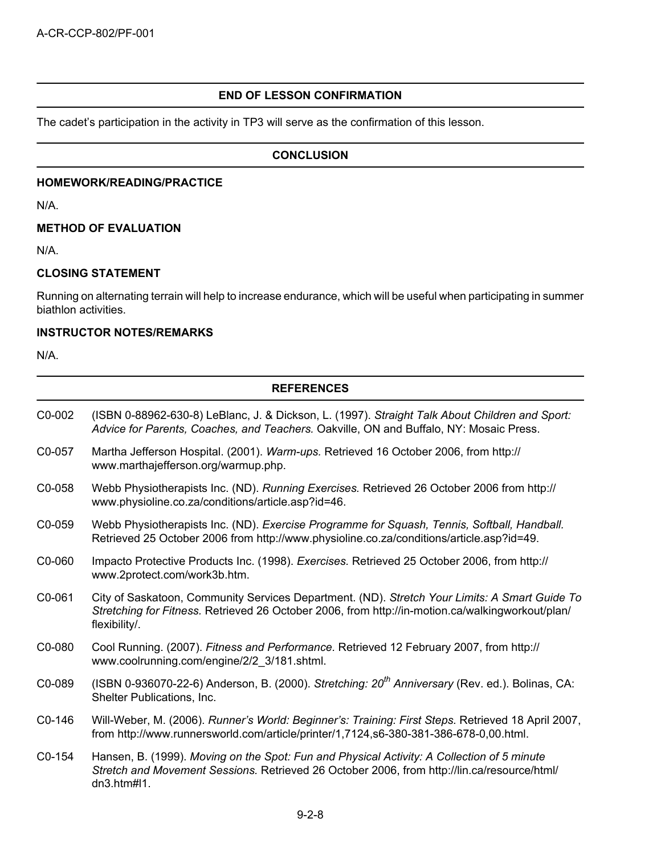#### END OF LESSON CONFIRMATION

The cadet's participation in the activity in TP3 will serve as the confirmation of this lesson.

#### **CONCLUSION**

#### HOMEWORK/READING/PRACTICE

N/A.

#### METHOD OF EVALUATION

N/A.

### CLOSING STATEMENT

Running on alternating terrain will help to increase endurance, which will be useful when participating in summer biathlon activities.

### INSTRUCTOR NOTES/REMARKS

N/A.

#### **REFERENCES**

| C0-002   | (ISBN 0-88962-630-8) LeBlanc, J. & Dickson, L. (1997). Straight Talk About Children and Sport:<br>Advice for Parents, Coaches, and Teachers. Oakville, ON and Buffalo, NY: Mosaic Press.                           |
|----------|--------------------------------------------------------------------------------------------------------------------------------------------------------------------------------------------------------------------|
| C0-057   | Martha Jefferson Hospital. (2001). Warm-ups. Retrieved 16 October 2006, from http://<br>www.marthajefferson.org/warmup.php.                                                                                        |
| C0-058   | Webb Physiotherapists Inc. (ND). Running Exercises. Retrieved 26 October 2006 from http://<br>www.physioline.co.za/conditions/article.asp?id=46.                                                                   |
| C0-059   | Webb Physiotherapists Inc. (ND). Exercise Programme for Squash, Tennis, Softball, Handball.<br>Retrieved 25 October 2006 from http://www.physioline.co.za/conditions/article.asp?id=49.                            |
| C0-060   | Impacto Protective Products Inc. (1998). Exercises. Retrieved 25 October 2006, from http://<br>www.2protect.com/work3b.htm.                                                                                        |
| C0-061   | City of Saskatoon, Community Services Department. (ND). Stretch Your Limits: A Smart Guide To<br>Stretching for Fitness. Retrieved 26 October 2006, from http://in-motion.ca/walkingworkout/plan/<br>flexibility/. |
| C0-080   | Cool Running. (2007). Fitness and Performance. Retrieved 12 February 2007, from http://<br>www.coolrunning.com/engine/2/2_3/181.shtml.                                                                             |
| C0-089   | (ISBN 0-936070-22-6) Anderson, B. (2000). Stretching: $20^{th}$ Anniversary (Rev. ed.). Bolinas, CA:<br>Shelter Publications, Inc.                                                                                 |
| C0-146   | Will-Weber, M. (2006). Runner's World: Beginner's: Training: First Steps. Retrieved 18 April 2007,<br>from http://www.runnersworld.com/article/printer/1,7124,s6-380-381-386-678-0,00.html.                        |
| $CO-154$ | Hansen, B. (1999). Moving on the Spot: Fun and Physical Activity: A Collection of 5 minute<br>Stretch and Movement Sessions. Retrieved 26 October 2006, from http://lin.ca/resource/html/<br>dn3.htm#l1.           |
|          |                                                                                                                                                                                                                    |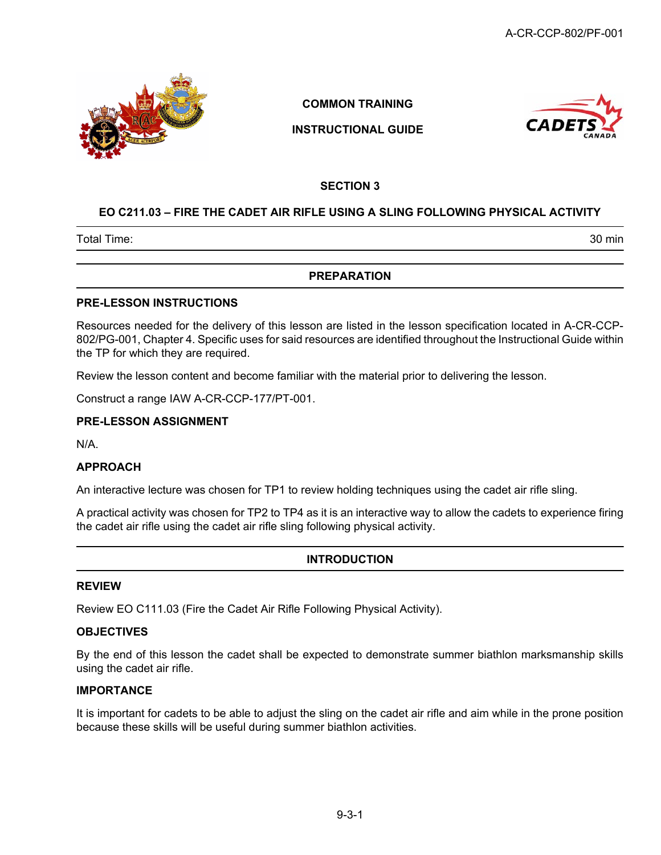

COMMON TRAINING

INSTRUCTIONAL GUIDE



#### SECTION 3

#### EO C211.03 – FIRE THE CADET AIR RIFLE USING A SLING FOLLOWING PHYSICAL ACTIVITY

Total Time: 30 min

#### PREPARATION

#### PRE-LESSON INSTRUCTIONS

Resources needed for the delivery of this lesson are listed in the lesson specification located in A-CR-CCP-802/PG-001, Chapter 4. Specific uses for said resources are identified throughout the Instructional Guide within the TP for which they are required.

Review the lesson content and become familiar with the material prior to delivering the lesson.

Construct a range IAW A-CR-CCP-177/PT-001.

#### PRE-LESSON ASSIGNMENT

N/A.

#### APPROACH

An interactive lecture was chosen for TP1 to review holding techniques using the cadet air rifle sling.

A practical activity was chosen for TP2 to TP4 as it is an interactive way to allow the cadets to experience firing the cadet air rifle using the cadet air rifle sling following physical activity.

#### INTRODUCTION

#### REVIEW

Review EO C111.03 (Fire the Cadet Air Rifle Following Physical Activity).

#### **OBJECTIVES**

By the end of this lesson the cadet shall be expected to demonstrate summer biathlon marksmanship skills using the cadet air rifle.

#### IMPORTANCE

It is important for cadets to be able to adjust the sling on the cadet air rifle and aim while in the prone position because these skills will be useful during summer biathlon activities.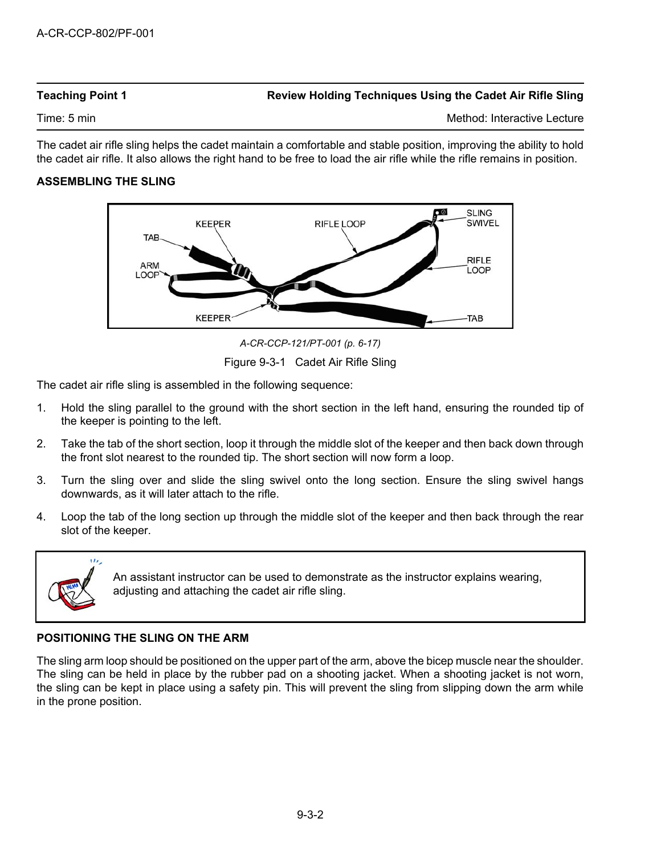### Teaching Point 1 **Review Holding Techniques Using the Cadet Air Rifle Sling 1**

Time: 5 min Method: Interactive Lecture Companies and Method: Interactive Lecture

The cadet air rifle sling helps the cadet maintain a comfortable and stable position, improving the ability to hold the cadet air rifle. It also allows the right hand to be free to load the air rifle while the rifle remains in position.

#### ASSEMBLING THE SLING



A-CR-CCP-121/PT-001 (p. 6-17)

Figure 9-3-1 Cadet Air Rifle Sling

The cadet air rifle sling is assembled in the following sequence:

- 1. Hold the sling parallel to the ground with the short section in the left hand, ensuring the rounded tip of the keeper is pointing to the left.
- 2. Take the tab of the short section, loop it through the middle slot of the keeper and then back down through the front slot nearest to the rounded tip. The short section will now form a loop.
- 3. Turn the sling over and slide the sling swivel onto the long section. Ensure the sling swivel hangs downwards, as it will later attach to the rifle.
- 4. Loop the tab of the long section up through the middle slot of the keeper and then back through the rear slot of the keeper.



An assistant instructor can be used to demonstrate as the instructor explains wearing, adjusting and attaching the cadet air rifle sling.

### POSITIONING THE SLING ON THE ARM

The sling arm loop should be positioned on the upper part of the arm, above the bicep muscle near the shoulder. The sling can be held in place by the rubber pad on a shooting jacket. When a shooting jacket is not worn, the sling can be kept in place using a safety pin. This will prevent the sling from slipping down the arm while in the prone position.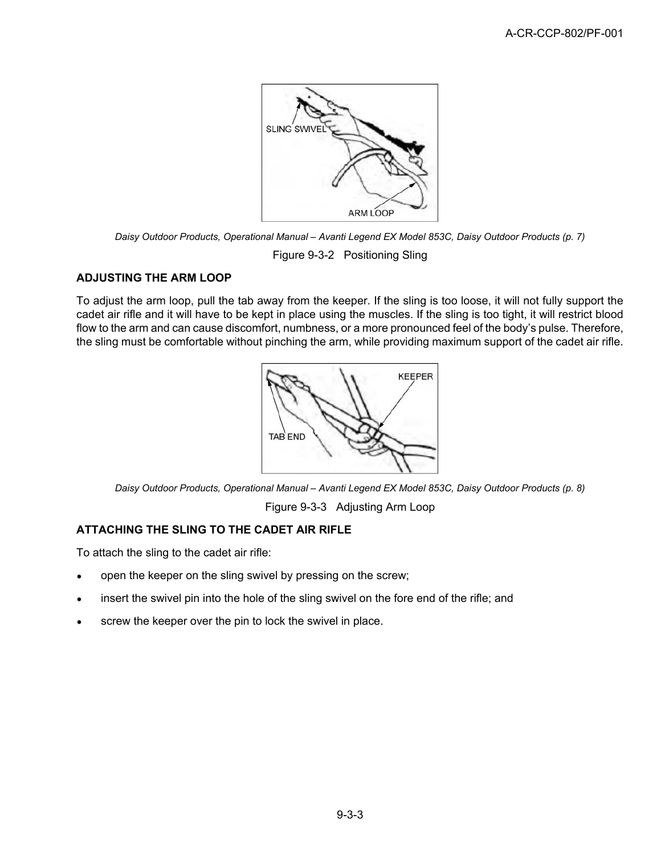

Daisy Outdoor Products, Operational Manual – Avanti Legend EX Model 853C, Daisy Outdoor Products (p. 7)

Figure 9-3-2 Positioning Sling

#### ADJUSTING THE ARM LOOP

To adjust the arm loop, pull the tab away from the keeper. If the sling is too loose, it will not fully support the cadet air rifle and it will have to be kept in place using the muscles. If the sling is too tight, it will restrict blood flow to the arm and can cause discomfort, numbness, or a more pronounced feel of the body's pulse. Therefore, the sling must be comfortable without pinching the arm, while providing maximum support of the cadet air rifle.



Daisy Outdoor Products, Operational Manual – Avanti Legend EX Model 853C, Daisy Outdoor Products (p. 8)

Figure 9-3-3 Adjusting Arm Loop

### ATTACHING THE SLING TO THE CADET AIR RIFLE

To attach the sling to the cadet air rifle:

- open the keeper on the sling swivel by pressing on the screw;
- insert the swivel pin into the hole of the sling swivel on the fore end of the rifle; and
- screw the keeper over the pin to lock the swivel in place.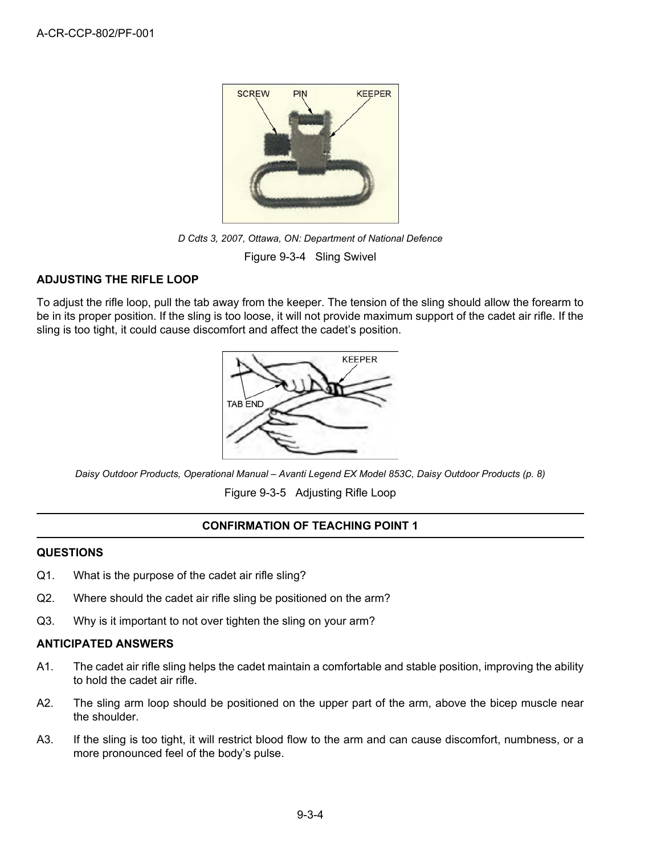

D Cdts 3, 2007, Ottawa, ON: Department of National Defence Figure 9-3-4 Sling Swivel

### ADJUSTING THE RIFLE LOOP

To adjust the rifle loop, pull the tab away from the keeper. The tension of the sling should allow the forearm to be in its proper position. If the sling is too loose, it will not provide maximum support of the cadet air rifle. If the sling is too tight, it could cause discomfort and affect the cadet's position.



Daisy Outdoor Products, Operational Manual – Avanti Legend EX Model 853C, Daisy Outdoor Products (p. 8)

Figure 9-3-5 Adjusting Rifle Loop

### CONFIRMATION OF TEACHING POINT 1

#### QUESTIONS

- Q1. What is the purpose of the cadet air rifle sling?
- Q2. Where should the cadet air rifle sling be positioned on the arm?
- Q3. Why is it important to not over tighten the sling on your arm?

#### ANTICIPATED ANSWERS

- A1. The cadet air rifle sling helps the cadet maintain a comfortable and stable position, improving the ability to hold the cadet air rifle.
- A2. The sling arm loop should be positioned on the upper part of the arm, above the bicep muscle near the shoulder.
- A3. If the sling is too tight, it will restrict blood flow to the arm and can cause discomfort, numbness, or a more pronounced feel of the body's pulse.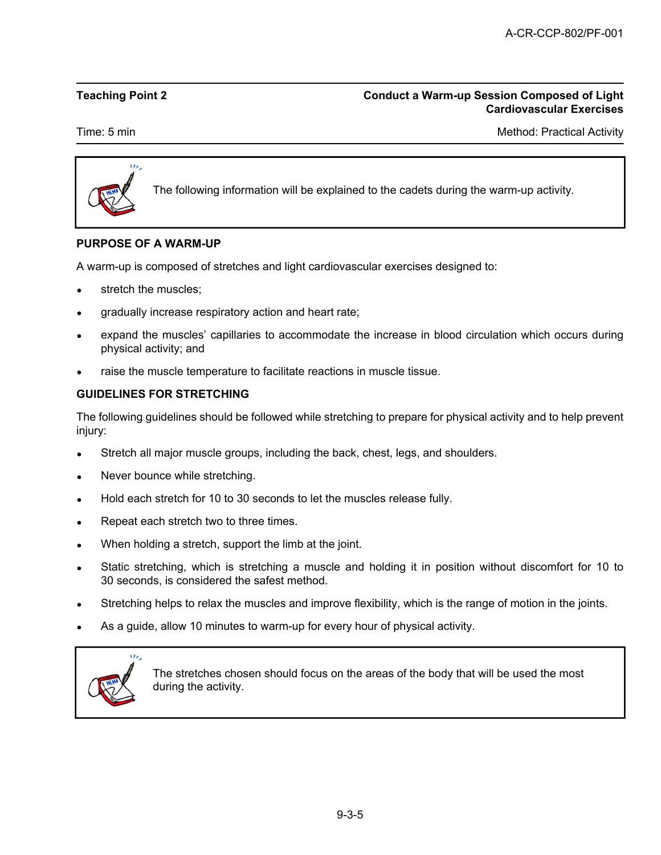#### Teaching Point 2 Conduct a Warm-up Session Composed of Light Cardiovascular Exercises

Time: 5 min Method: Practical Activity and Time: 5 min Method: Practical Activity



The following information will be explained to the cadets during the warm-up activity.

#### PURPOSE OF A WARM-UP

A warm-up is composed of stretches and light cardiovascular exercises designed to:

- stretch the muscles;
- gradually increase respiratory action and heart rate;
- expand the muscles' capillaries to accommodate the increase in blood circulation which occurs during physical activity; and
- raise the muscle temperature to facilitate reactions in muscle tissue.

#### GUIDELINES FOR STRETCHING

The following guidelines should be followed while stretching to prepare for physical activity and to help prevent injury:

- Stretch all major muscle groups, including the back, chest, legs, and shoulders.
- Never bounce while stretching.
- Hold each stretch for 10 to 30 seconds to let the muscles release fully.
- Repeat each stretch two to three times.
- When holding a stretch, support the limb at the joint.
- Static stretching, which is stretching a muscle and holding it in position without discomfort for 10 to 30 seconds, is considered the safest method.
- Stretching helps to relax the muscles and improve flexibility, which is the range of motion in the joints.
- As a guide, allow 10 minutes to warm-up for every hour of physical activity.



The stretches chosen should focus on the areas of the body that will be used the most during the activity.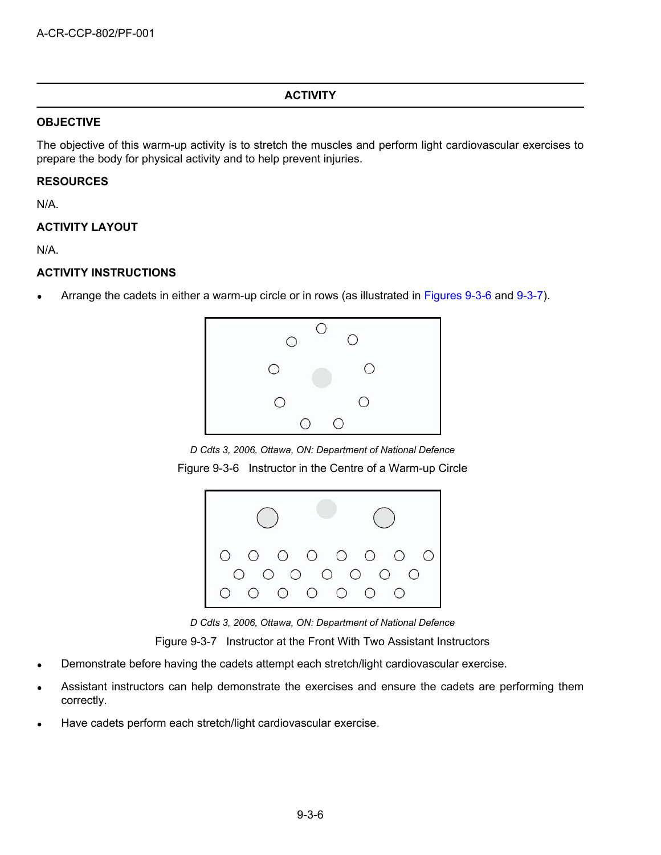### **ACTIVITY**

#### **OBJECTIVE**

The objective of this warm-up activity is to stretch the muscles and perform light cardiovascular exercises to prepare the body for physical activity and to help prevent injuries.

#### **RESOURCES**

N/A.

### ACTIVITY LAYOUT

N/A.

### ACTIVITY INSTRUCTIONS

Arrange the cadets in either a warm-up circle or in rows (as illustrated in Figures 9-3-6 and 9-3-7).







D Cdts 3, 2006, Ottawa, ON: Department of National Defence

Figure 9-3-7 Instructor at the Front With Two Assistant Instructors

- Demonstrate before having the cadets attempt each stretch/light cardiovascular exercise.
- Assistant instructors can help demonstrate the exercises and ensure the cadets are performing them correctly.
- Have cadets perform each stretch/light cardiovascular exercise.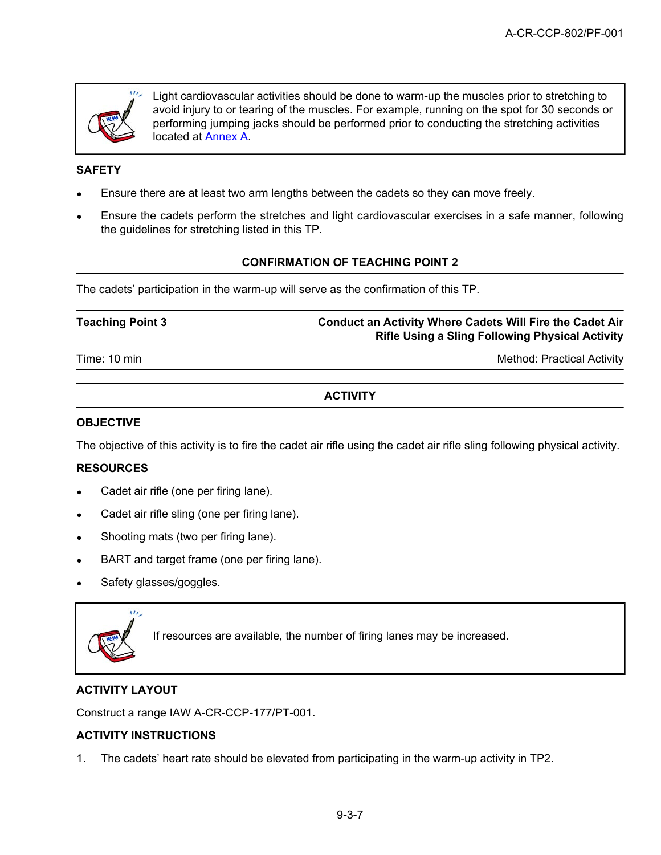

Light cardiovascular activities should be done to warm-up the muscles prior to stretching to avoid injury to or tearing of the muscles. For example, running on the spot for 30 seconds or performing jumping jacks should be performed prior to conducting the stretching activities located at Annex A.

#### **SAFETY**

- Ensure there are at least two arm lengths between the cadets so they can move freely.
- Ensure the cadets perform the stretches and light cardiovascular exercises in a safe manner, following the guidelines for stretching listed in this TP.

#### CONFIRMATION OF TEACHING POINT 2

The cadets' participation in the warm-up will serve as the confirmation of this TP.

#### Teaching Point 3 Conduct an Activity Where Cadets Will Fire the Cadet Air Rifle Using a Sling Following Physical Activity

Time: 10 min Method: Practical Activity

### **ACTIVITY**

#### **OBJECTIVE**

The objective of this activity is to fire the cadet air rifle using the cadet air rifle sling following physical activity.

#### RESOURCES

- Cadet air rifle (one per firing lane).
- Cadet air rifle sling (one per firing lane).
- Shooting mats (two per firing lane).
- BART and target frame (one per firing lane).  $\bullet$
- Safety glasses/goggles.



If resources are available, the number of firing lanes may be increased.

### ACTIVITY LAYOUT

Construct a range IAW A-CR-CCP-177/PT-001.

#### ACTIVITY INSTRUCTIONS

1. The cadets' heart rate should be elevated from participating in the warm-up activity in TP2.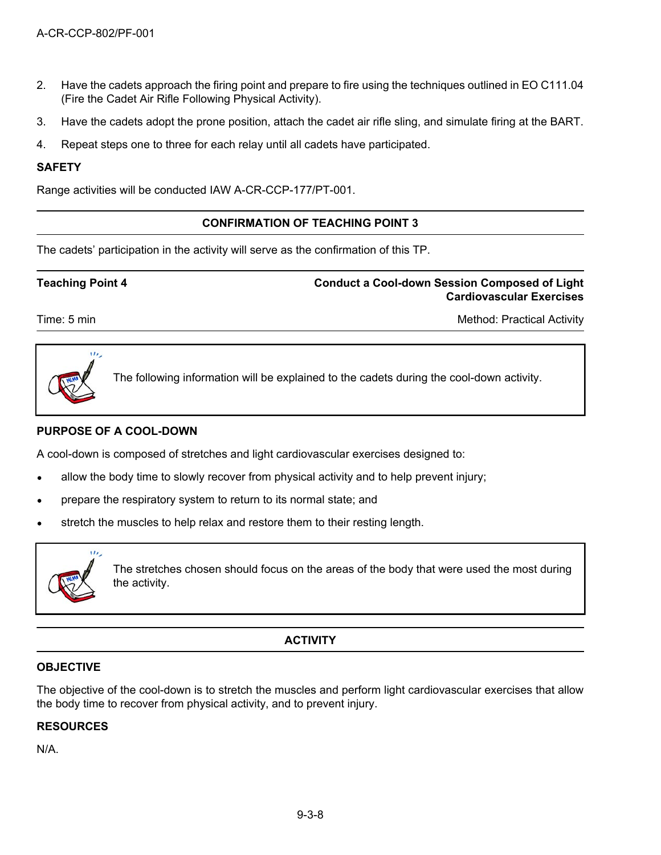- 2. Have the cadets approach the firing point and prepare to fire using the techniques outlined in EO C111.04 (Fire the Cadet Air Rifle Following Physical Activity).
- 3. Have the cadets adopt the prone position, attach the cadet air rifle sling, and simulate firing at the BART.
- 4. Repeat steps one to three for each relay until all cadets have participated.

#### **SAFETY**

Range activities will be conducted IAW A-CR-CCP-177/PT-001.

#### CONFIRMATION OF TEACHING POINT 3

The cadets' participation in the activity will serve as the confirmation of this TP.

#### Teaching Point 4 Conduct a Cool-down Session Composed of Light Cardiovascular Exercises

Time: 5 min Method: Practical Activity



The following information will be explained to the cadets during the cool-down activity.

#### PURPOSE OF A COOL-DOWN

A cool-down is composed of stretches and light cardiovascular exercises designed to:

- allow the body time to slowly recover from physical activity and to help prevent injury;
- prepare the respiratory system to return to its normal state; and
- stretch the muscles to help relax and restore them to their resting length.



The stretches chosen should focus on the areas of the body that were used the most during the activity.

#### **ACTIVITY**

#### **OBJECTIVE**

The objective of the cool-down is to stretch the muscles and perform light cardiovascular exercises that allow the body time to recover from physical activity, and to prevent injury.

#### **RESOURCES**

N/A.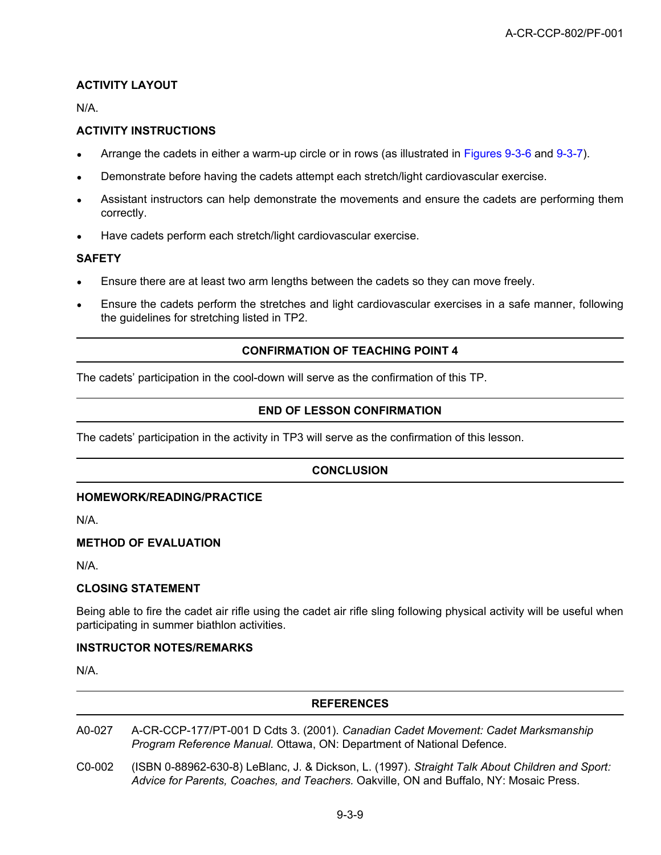#### ACTIVITY LAYOUT

N/A.

#### ACTIVITY INSTRUCTIONS

- Arrange the cadets in either a warm-up circle or in rows (as illustrated in Figures 9-3-6 and 9-3-7).
- Demonstrate before having the cadets attempt each stretch/light cardiovascular exercise.
- Assistant instructors can help demonstrate the movements and ensure the cadets are performing them correctly.
- Have cadets perform each stretch/light cardiovascular exercise.

#### **SAFETY**

- Ensure there are at least two arm lengths between the cadets so they can move freely.
- Ensure the cadets perform the stretches and light cardiovascular exercises in a safe manner, following the guidelines for stretching listed in TP2.

### CONFIRMATION OF TEACHING POINT 4

The cadets' participation in the cool-down will serve as the confirmation of this TP.

### END OF LESSON CONFIRMATION

The cadets' participation in the activity in TP3 will serve as the confirmation of this lesson.

#### **CONCLUSION**

#### HOMEWORK/READING/PRACTICE

N/A.

#### METHOD OF EVALUATION

N/A.

#### CLOSING STATEMENT

Being able to fire the cadet air rifle using the cadet air rifle sling following physical activity will be useful when participating in summer biathlon activities.

#### INSTRUCTOR NOTES/REMARKS

N/A.

#### REFERENCES

- A0-027 A-CR-CCP-177/PT-001 D Cdts 3. (2001). Canadian Cadet Movement: Cadet Marksmanship Program Reference Manual. Ottawa, ON: Department of National Defence.
- C0-002 (ISBN 0-88962-630-8) LeBlanc, J. & Dickson, L. (1997). Straight Talk About Children and Sport: Advice for Parents, Coaches, and Teachers. Oakville, ON and Buffalo, NY: Mosaic Press.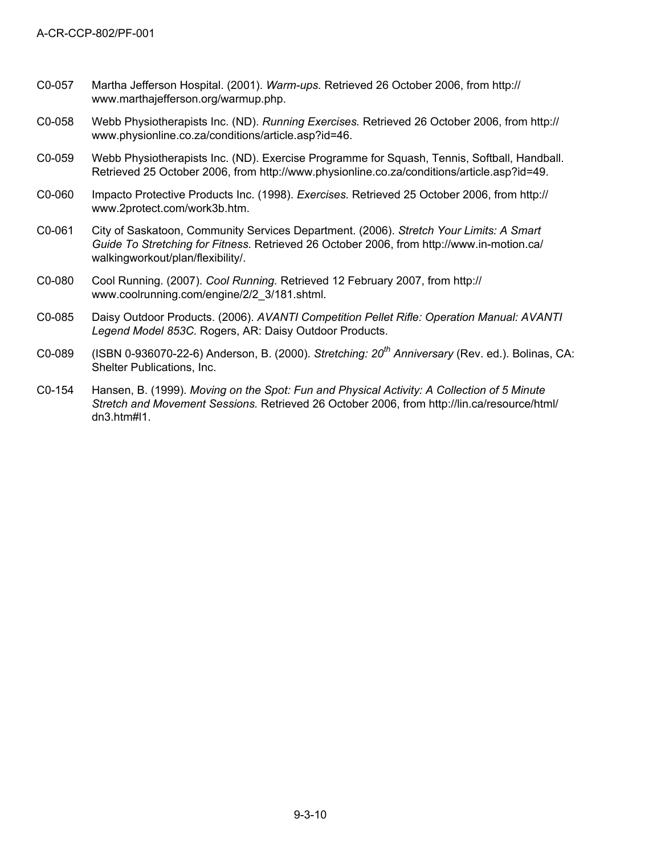- C0-057 Martha Jefferson Hospital. (2001). Warm-ups. Retrieved 26 October 2006, from http:// www.marthajefferson.org/warmup.php.
- C0-058 Webb Physiotherapists Inc. (ND). Running Exercises. Retrieved 26 October 2006, from http:// www.physionline.co.za/conditions/article.asp?id=46.
- C0-059 Webb Physiotherapists Inc. (ND). Exercise Programme for Squash, Tennis, Softball, Handball. Retrieved 25 October 2006, from http://www.physionline.co.za/conditions/article.asp?id=49.
- C0-060 Impacto Protective Products Inc. (1998). Exercises. Retrieved 25 October 2006, from http:// www.2protect.com/work3b.htm.
- C0-061 City of Saskatoon, Community Services Department. (2006). Stretch Your Limits: A Smart Guide To Stretching for Fitness. Retrieved 26 October 2006, from http://www.in-motion.ca/ walkingworkout/plan/flexibility/.
- C0-080 Cool Running. (2007). Cool Running. Retrieved 12 February 2007, from http:// www.coolrunning.com/engine/2/2\_3/181.shtml.
- C0-085 Daisy Outdoor Products. (2006). AVANTI Competition Pellet Rifle: Operation Manual: AVANTI Legend Model 853C. Rogers, AR: Daisy Outdoor Products.
- C0-089 (ISBN 0-936070-22-6) Anderson, B. (2000). Stretching: 20<sup>th</sup> Anniversary (Rev. ed.). Bolinas, CA: Shelter Publications, Inc.
- C0-154 Hansen, B. (1999). Moving on the Spot: Fun and Physical Activity: A Collection of 5 Minute Stretch and Movement Sessions. Retrieved 26 October 2006, from http://lin.ca/resource/html/ dn3.htm#l1.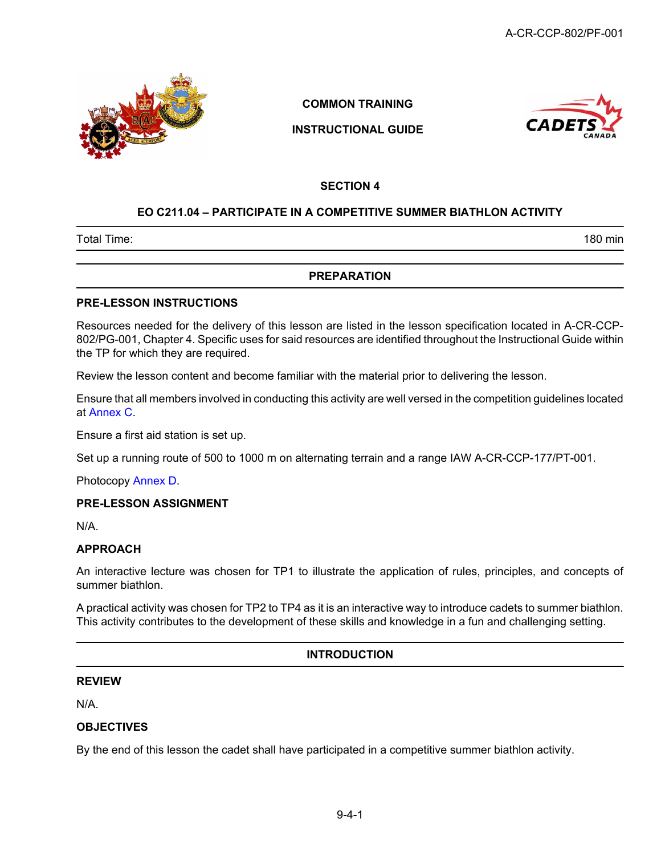

COMMON TRAINING

INSTRUCTIONAL GUIDE



#### SECTION 4

#### EO C211.04 – PARTICIPATE IN A COMPETITIVE SUMMER BIATHLON ACTIVITY

Total Time: 180 min

#### PREPARATION

#### PRE-LESSON INSTRUCTIONS

Resources needed for the delivery of this lesson are listed in the lesson specification located in A-CR-CCP-802/PG-001, Chapter 4. Specific uses for said resources are identified throughout the Instructional Guide within the TP for which they are required.

Review the lesson content and become familiar with the material prior to delivering the lesson.

Ensure that all members involved in conducting this activity are well versed in the competition guidelines located at Annex C.

Ensure a first aid station is set up.

Set up a running route of 500 to 1000 m on alternating terrain and a range IAW A-CR-CCP-177/PT-001.

Photocopy Annex D.

#### PRE-LESSON ASSIGNMENT

N/A.

#### APPROACH

An interactive lecture was chosen for TP1 to illustrate the application of rules, principles, and concepts of summer biathlon.

A practical activity was chosen for TP2 to TP4 as it is an interactive way to introduce cadets to summer biathlon. This activity contributes to the development of these skills and knowledge in a fun and challenging setting.

#### INTRODUCTION

REVIEW

N/A.

#### **OBJECTIVES**

By the end of this lesson the cadet shall have participated in a competitive summer biathlon activity.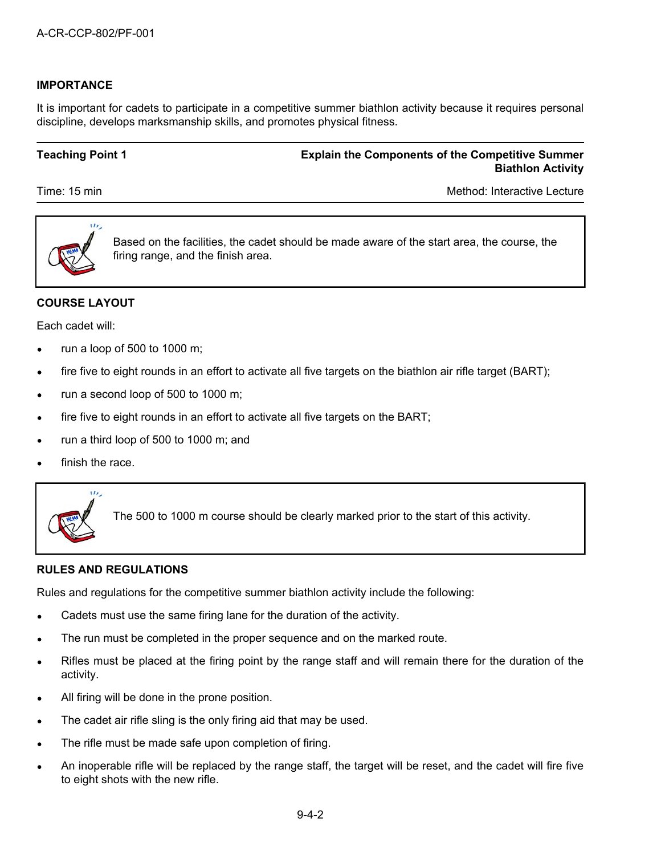#### IMPORTANCE

It is important for cadets to participate in a competitive summer biathlon activity because it requires personal discipline, develops marksmanship skills, and promotes physical fitness.

#### Teaching Point 1 Explain the Components of the Competitive Summer Biathlon Activity

Time: 15 min Method: Interactive Lecture Companies And Method: Interactive Lecture



Based on the facilities, the cadet should be made aware of the start area, the course, the firing range, and the finish area.

### COURSE LAYOUT

Each cadet will:

- run a loop of 500 to 1000 m;
- fire five to eight rounds in an effort to activate all five targets on the biathlon air rifle target (BART);  $\bullet$
- run a second loop of 500 to 1000 m;  $\bullet$
- fire five to eight rounds in an effort to activate all five targets on the BART;  $\bullet$
- run a third loop of 500 to 1000 m; and  $\bullet$
- finish the race.



The 500 to 1000 m course should be clearly marked prior to the start of this activity.

### RULES AND REGULATIONS

Rules and regulations for the competitive summer biathlon activity include the following:

- Cadets must use the same firing lane for the duration of the activity.
- The run must be completed in the proper sequence and on the marked route.
- Rifles must be placed at the firing point by the range staff and will remain there for the duration of the activity.
- All firing will be done in the prone position.
- The cadet air rifle sling is the only firing aid that may be used.
- The rifle must be made safe upon completion of firing.
- An inoperable rifle will be replaced by the range staff, the target will be reset, and the cadet will fire five to eight shots with the new rifle.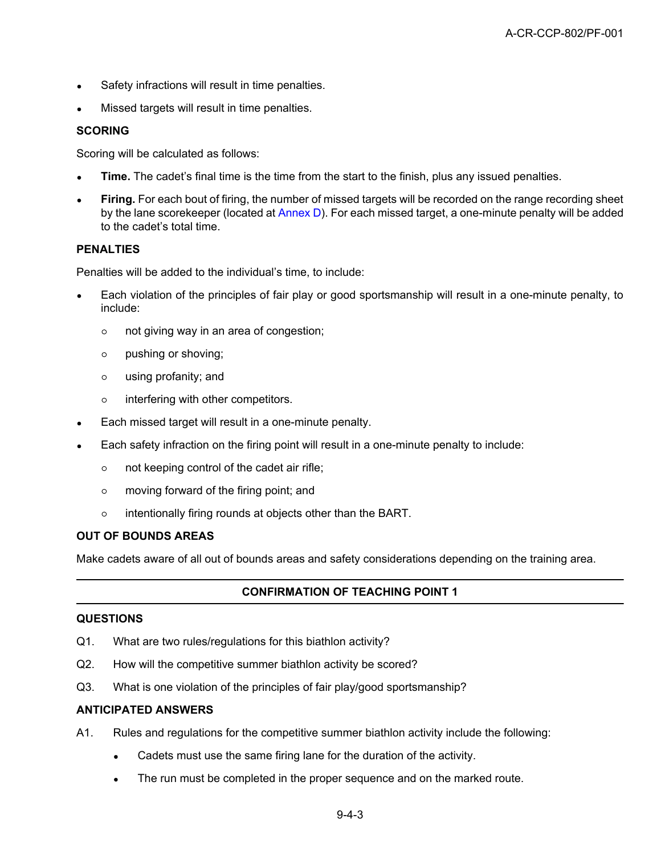- Safety infractions will result in time penalties.
- Missed targets will result in time penalties.

#### **SCORING**

Scoring will be calculated as follows:

- Time. The cadet's final time is the time from the start to the finish, plus any issued penalties.
- Firing. For each bout of firing, the number of missed targets will be recorded on the range recording sheet by the lane scorekeeper (located at Annex D). For each missed target, a one-minute penalty will be added to the cadet's total time.

#### PENALTIES

Penalties will be added to the individual's time, to include:

- Each violation of the principles of fair play or good sportsmanship will result in a one-minute penalty, to include:
	- $\circ$ not giving way in an area of congestion;
	- $\circ$ pushing or shoving;
	- $\circ$ using profanity; and
	- $\circ$ interfering with other competitors.
- Each missed target will result in a one-minute penalty.
- Each safety infraction on the firing point will result in a one-minute penalty to include:
	- not keeping control of the cadet air rifle;  $\circ$
	- moving forward of the firing point; and  $\circ$
	- intentionally firing rounds at objects other than the BART.  $\circ$

#### OUT OF BOUNDS AREAS

Make cadets aware of all out of bounds areas and safety considerations depending on the training area.

#### CONFIRMATION OF TEACHING POINT 1

#### **QUESTIONS**

- Q1. What are two rules/regulations for this biathlon activity?
- Q2. How will the competitive summer biathlon activity be scored?
- Q3. What is one violation of the principles of fair play/good sportsmanship?

#### ANTICIPATED ANSWERS

- A1. Rules and regulations for the competitive summer biathlon activity include the following:
	- Cadets must use the same firing lane for the duration of the activity.  $\bullet$
	- The run must be completed in the proper sequence and on the marked route.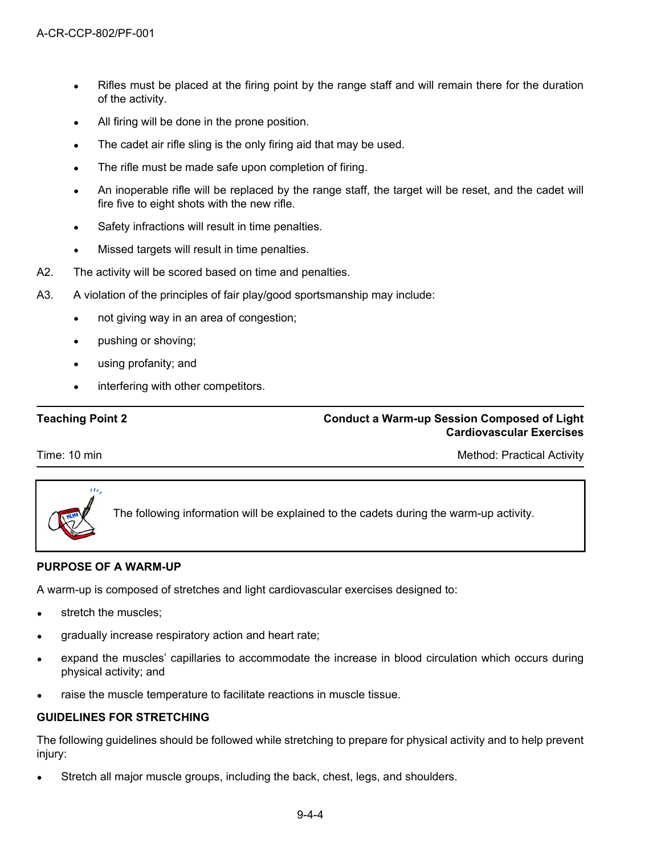- Rifles must be placed at the firing point by the range staff and will remain there for the duration  $\bullet$ of the activity.
- All firing will be done in the prone position.
- The cadet air rifle sling is the only firing aid that may be used.
- The rifle must be made safe upon completion of firing.
- An inoperable rifle will be replaced by the range staff, the target will be reset, and the cadet will fire five to eight shots with the new rifle.
- Safety infractions will result in time penalties.
- Missed targets will result in time penalties.  $\bullet$
- A2. The activity will be scored based on time and penalties.
- A3. A violation of the principles of fair play/good sportsmanship may include:
	- not giving way in an area of congestion;  $\bullet$
	- pushing or shoving;  $\bullet$
	- using profanity; and  $\bullet$
	- interfering with other competitors.  $\bullet$

### Teaching Point 2 Conduct a Warm-up Session Composed of Light Cardiovascular Exercises

Time: 10 min Method: Practical Activity



The following information will be explained to the cadets during the warm-up activity.

### PURPOSE OF A WARM-UP

A warm-up is composed of stretches and light cardiovascular exercises designed to:

- stretch the muscles;
- gradually increase respiratory action and heart rate;
- expand the muscles' capillaries to accommodate the increase in blood circulation which occurs during physical activity; and
- raise the muscle temperature to facilitate reactions in muscle tissue.

#### GUIDELINES FOR STRETCHING

The following guidelines should be followed while stretching to prepare for physical activity and to help prevent injury:

Stretch all major muscle groups, including the back, chest, legs, and shoulders.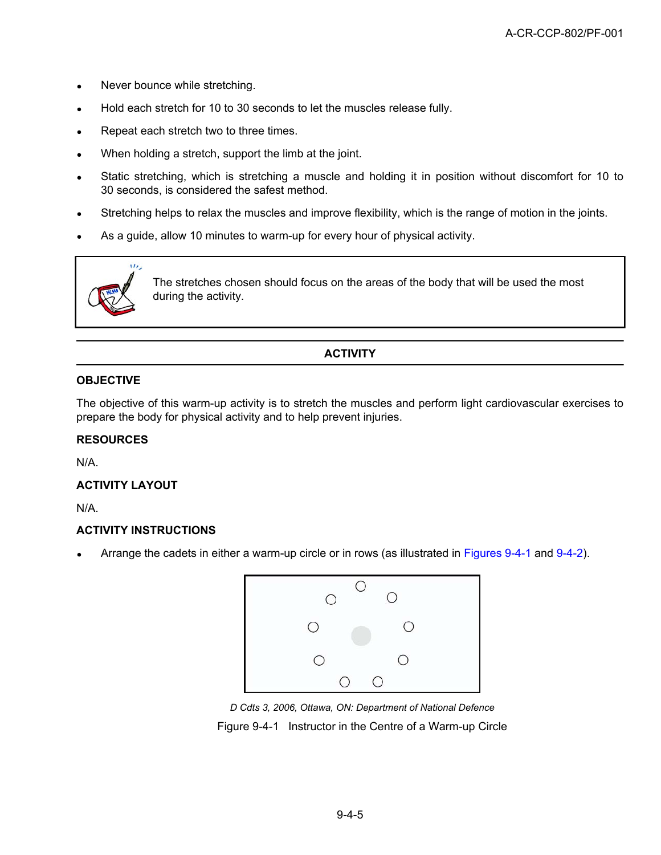- Never bounce while stretching.  $\bullet$
- Hold each stretch for 10 to 30 seconds to let the muscles release fully.
- Repeat each stretch two to three times.
- When holding a stretch, support the limb at the joint.
- Static stretching, which is stretching a muscle and holding it in position without discomfort for 10 to 30 seconds, is considered the safest method.
- Stretching helps to relax the muscles and improve flexibility, which is the range of motion in the joints.
- As a guide, allow 10 minutes to warm-up for every hour of physical activity.



The stretches chosen should focus on the areas of the body that will be used the most during the activity.

### **ACTIVITY**

#### **OBJECTIVE**

The objective of this warm-up activity is to stretch the muscles and perform light cardiovascular exercises to prepare the body for physical activity and to help prevent injuries.

#### **RESOURCES**

N/A.

#### ACTIVITY LAYOUT

N/A.

#### ACTIVITY INSTRUCTIONS

Arrange the cadets in either a warm-up circle or in rows (as illustrated in Figures 9-4-1 and 9-4-2).



D Cdts 3, 2006, Ottawa, ON: Department of National Defence

Figure 9-4-1 Instructor in the Centre of a Warm-up Circle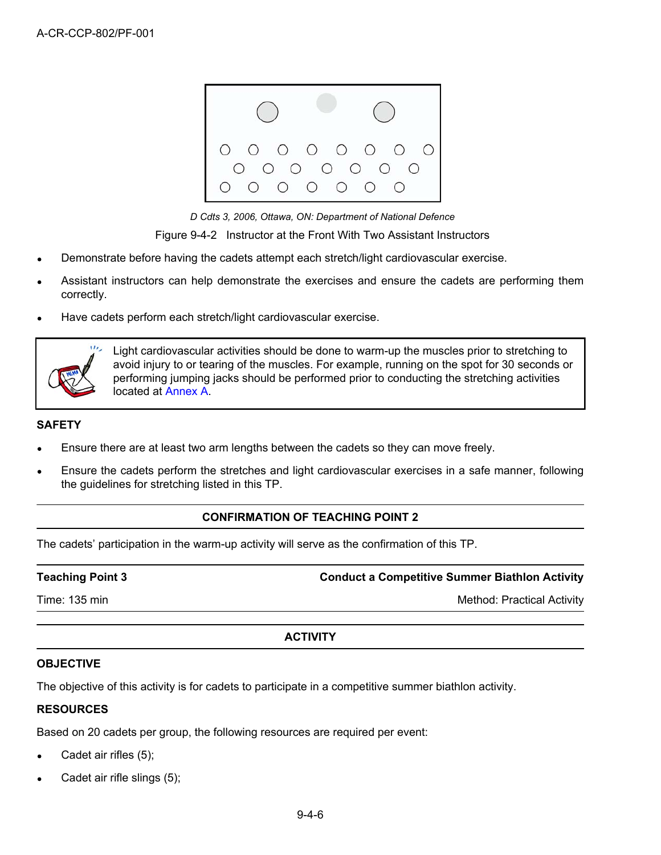

D Cdts 3, 2006, Ottawa, ON: Department of National Defence

Figure 9-4-2 Instructor at the Front With Two Assistant Instructors

- Demonstrate before having the cadets attempt each stretch/light cardiovascular exercise.
- Assistant instructors can help demonstrate the exercises and ensure the cadets are performing them correctly.
- Have cadets perform each stretch/light cardiovascular exercise.



Light cardiovascular activities should be done to warm-up the muscles prior to stretching to avoid injury to or tearing of the muscles. For example, running on the spot for 30 seconds or performing jumping jacks should be performed prior to conducting the stretching activities located at Annex A.

#### **SAFETY**

- Ensure there are at least two arm lengths between the cadets so they can move freely.
- Ensure the cadets perform the stretches and light cardiovascular exercises in a safe manner, following the guidelines for stretching listed in this TP.

#### CONFIRMATION OF TEACHING POINT 2

The cadets' participation in the warm-up activity will serve as the confirmation of this TP.

#### Teaching Point 3 Conduct a Competitive Summer Biathlon Activity

Time: 135 min Method: Practical Activity

#### **ACTIVITY**

#### **OBJECTIVE**

The objective of this activity is for cadets to participate in a competitive summer biathlon activity.

#### **RESOURCES**

Based on 20 cadets per group, the following resources are required per event:

- Cadet air rifles (5);
- Cadet air rifle slings (5);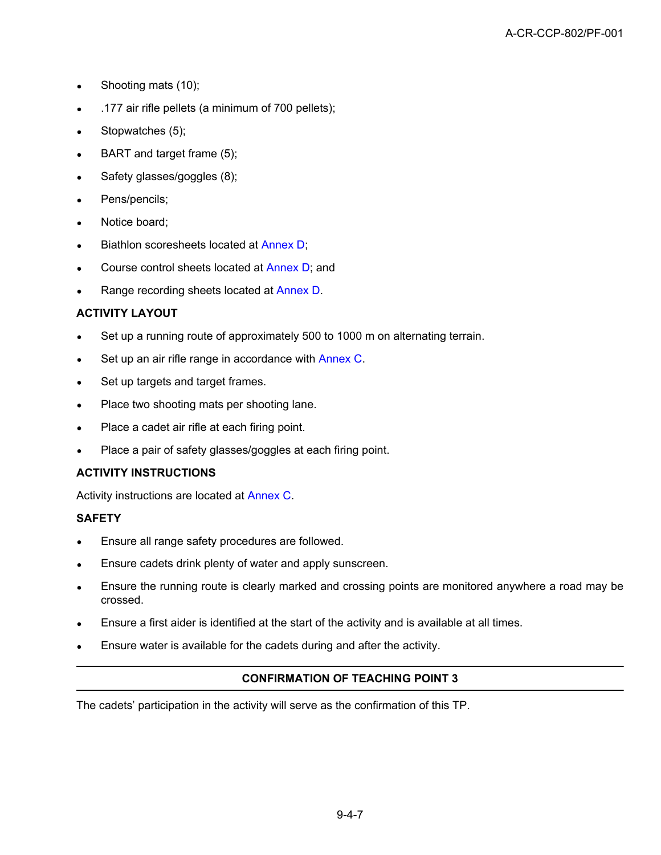- Shooting mats (10);  $\bullet$
- .177 air rifle pellets (a minimum of 700 pellets);
- Stopwatches (5);
- BART and target frame (5);
- Safety glasses/goggles (8);
- Pens/pencils;
- Notice board;
- Biathlon scoresheets located at Annex D;
- Course control sheets located at Annex D; and
- Range recording sheets located at Annex D.

#### ACTIVITY LAYOUT

- Set up a running route of approximately 500 to 1000 m on alternating terrain.
- Set up an air rifle range in accordance with Annex C.
- Set up targets and target frames.
- Place two shooting mats per shooting lane.
- Place a cadet air rifle at each firing point.
- Place a pair of safety glasses/goggles at each firing point.

#### ACTIVITY INSTRUCTIONS

Activity instructions are located at Annex C.

#### **SAFETY**

- Ensure all range safety procedures are followed.
- Ensure cadets drink plenty of water and apply sunscreen.
- Ensure the running route is clearly marked and crossing points are monitored anywhere a road may be crossed.
- Ensure a first aider is identified at the start of the activity and is available at all times.
- Ensure water is available for the cadets during and after the activity.

#### CONFIRMATION OF TEACHING POINT 3

The cadets' participation in the activity will serve as the confirmation of this TP.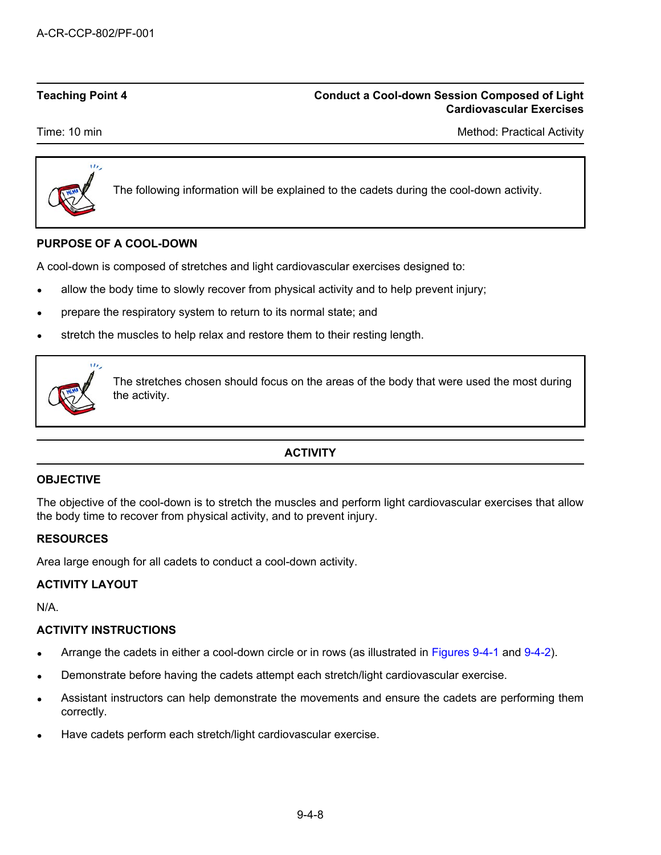### Teaching Point 4 Conduct a Cool-down Session Composed of Light Cardiovascular Exercises

Time: 10 min Method: Practical Activity



The following information will be explained to the cadets during the cool-down activity.

### PURPOSE OF A COOL-DOWN

A cool-down is composed of stretches and light cardiovascular exercises designed to:

- allow the body time to slowly recover from physical activity and to help prevent injury;
- prepare the respiratory system to return to its normal state; and
- stretch the muscles to help relax and restore them to their resting length.



The stretches chosen should focus on the areas of the body that were used the most during the activity.

#### **ACTIVITY**

#### **OBJECTIVE**

The objective of the cool-down is to stretch the muscles and perform light cardiovascular exercises that allow the body time to recover from physical activity, and to prevent injury.

#### **RESOURCES**

Area large enough for all cadets to conduct a cool-down activity.

### ACTIVITY LAYOUT

N/A.

### ACTIVITY INSTRUCTIONS

- Arrange the cadets in either a cool-down circle or in rows (as illustrated in Figures 9-4-1 and 9-4-2).
- Demonstrate before having the cadets attempt each stretch/light cardiovascular exercise.
- Assistant instructors can help demonstrate the movements and ensure the cadets are performing them correctly.
- Have cadets perform each stretch/light cardiovascular exercise.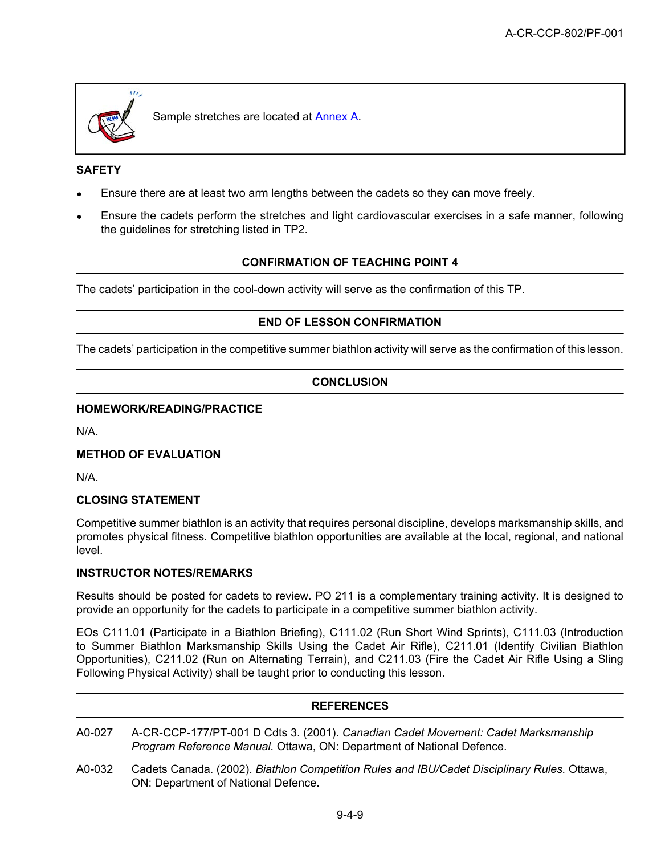

Sample stretches are located at Annex A.

#### **SAFETY**

- Ensure there are at least two arm lengths between the cadets so they can move freely.
- Ensure the cadets perform the stretches and light cardiovascular exercises in a safe manner, following the guidelines for stretching listed in TP2.

#### CONFIRMATION OF TEACHING POINT 4

The cadets' participation in the cool-down activity will serve as the confirmation of this TP.

#### END OF LESSON CONFIRMATION

The cadets' participation in the competitive summer biathlon activity will serve as the confirmation of this lesson.

#### **CONCLUSION**

#### HOMEWORK/READING/PRACTICE

N/A.

#### METHOD OF EVALUATION

N/A.

#### CLOSING STATEMENT

Competitive summer biathlon is an activity that requires personal discipline, develops marksmanship skills, and promotes physical fitness. Competitive biathlon opportunities are available at the local, regional, and national level.

#### INSTRUCTOR NOTES/REMARKS

Results should be posted for cadets to review. PO 211 is a complementary training activity. It is designed to provide an opportunity for the cadets to participate in a competitive summer biathlon activity.

EOs C111.01 (Participate in a Biathlon Briefing), C111.02 (Run Short Wind Sprints), C111.03 (Introduction to Summer Biathlon Marksmanship Skills Using the Cadet Air Rifle), C211.01 (Identify Civilian Biathlon Opportunities), C211.02 (Run on Alternating Terrain), and C211.03 (Fire the Cadet Air Rifle Using a Sling Following Physical Activity) shall be taught prior to conducting this lesson.

#### **REFERENCES**

- A0-027 A-CR-CCP-177/PT-001 D Cdts 3. (2001). Canadian Cadet Movement: Cadet Marksmanship Program Reference Manual. Ottawa, ON: Department of National Defence.
- A0-032 Cadets Canada. (2002). Biathlon Competition Rules and IBU/Cadet Disciplinary Rules. Ottawa, ON: Department of National Defence.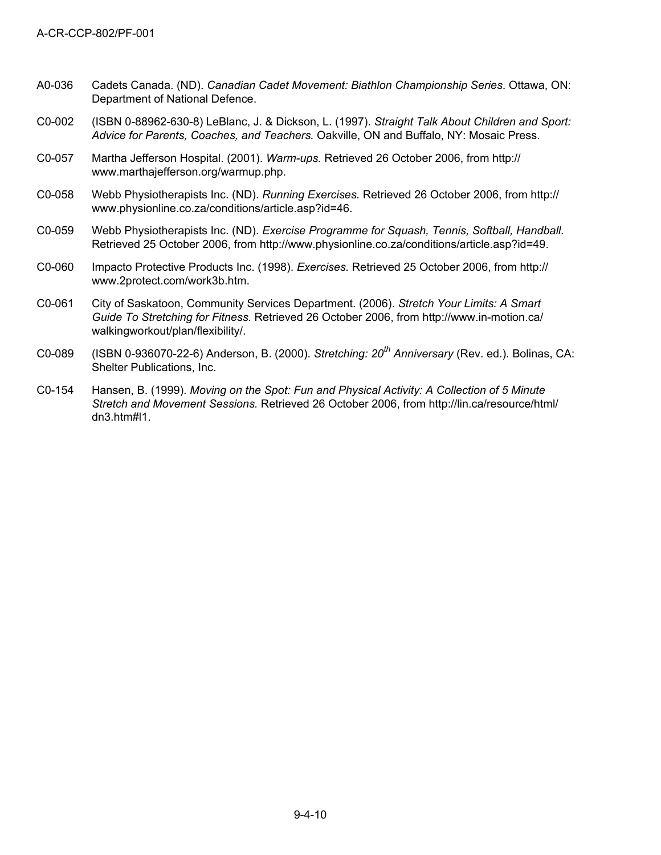- A0-036 Cadets Canada. (ND). Canadian Cadet Movement: Biathlon Championship Series. Ottawa, ON: Department of National Defence.
- C0-002 (ISBN 0-88962-630-8) LeBlanc, J. & Dickson, L. (1997). Straight Talk About Children and Sport: Advice for Parents, Coaches, and Teachers. Oakville, ON and Buffalo, NY: Mosaic Press.
- C0-057 Martha Jefferson Hospital. (2001). Warm-ups. Retrieved 26 October 2006, from http:// www.marthajefferson.org/warmup.php.
- C0-058 Webb Physiotherapists Inc. (ND). Running Exercises. Retrieved 26 October 2006, from http:// www.physionline.co.za/conditions/article.asp?id=46.
- C0-059 Webb Physiotherapists Inc. (ND). Exercise Programme for Squash, Tennis, Softball, Handball. Retrieved 25 October 2006, from http://www.physionline.co.za/conditions/article.asp?id=49.
- C0-060 Impacto Protective Products Inc. (1998). Exercises. Retrieved 25 October 2006, from http:// www.2protect.com/work3b.htm.
- C0-061 City of Saskatoon, Community Services Department. (2006). Stretch Your Limits: A Smart Guide To Stretching for Fitness. Retrieved 26 October 2006, from http://www.in-motion.ca/ walkingworkout/plan/flexibility/.
- C0-089 (ISBN 0-936070-22-6) Anderson, B. (2000). Stretching: 20<sup>th</sup> Anniversary (Rev. ed.). Bolinas, CA: Shelter Publications, Inc.
- C0-154 Hansen, B. (1999). Moving on the Spot: Fun and Physical Activity: A Collection of 5 Minute Stretch and Movement Sessions. Retrieved 26 October 2006, from http://lin.ca/resource/html/ dn3.htm#l1.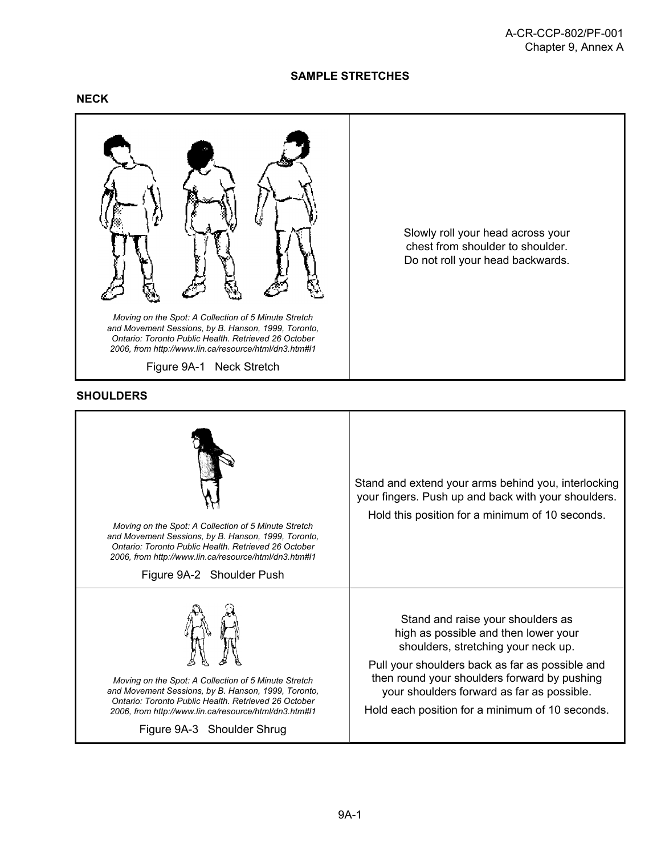#### SAMPLE STRETCHES



#### **SHOULDERS**

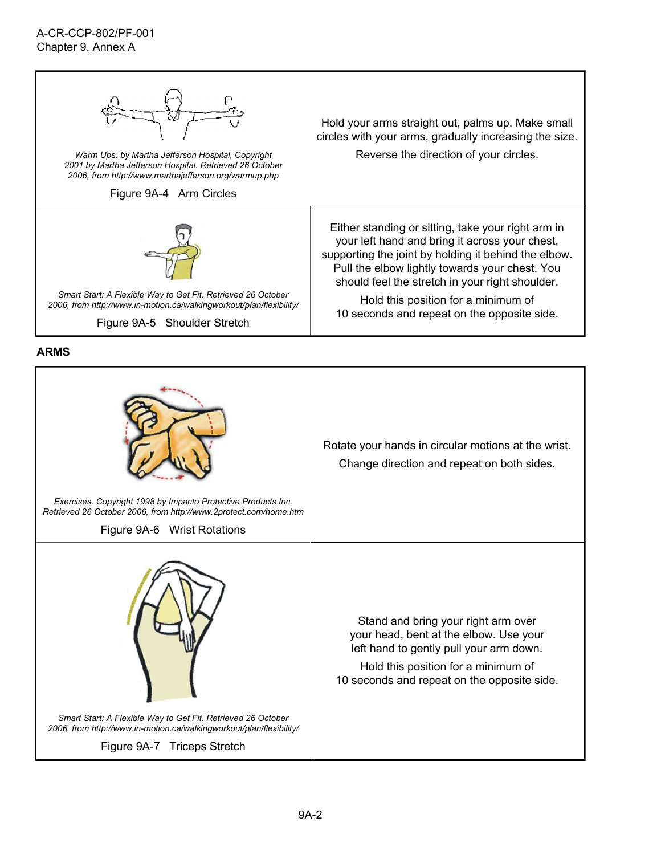

#### ARMS

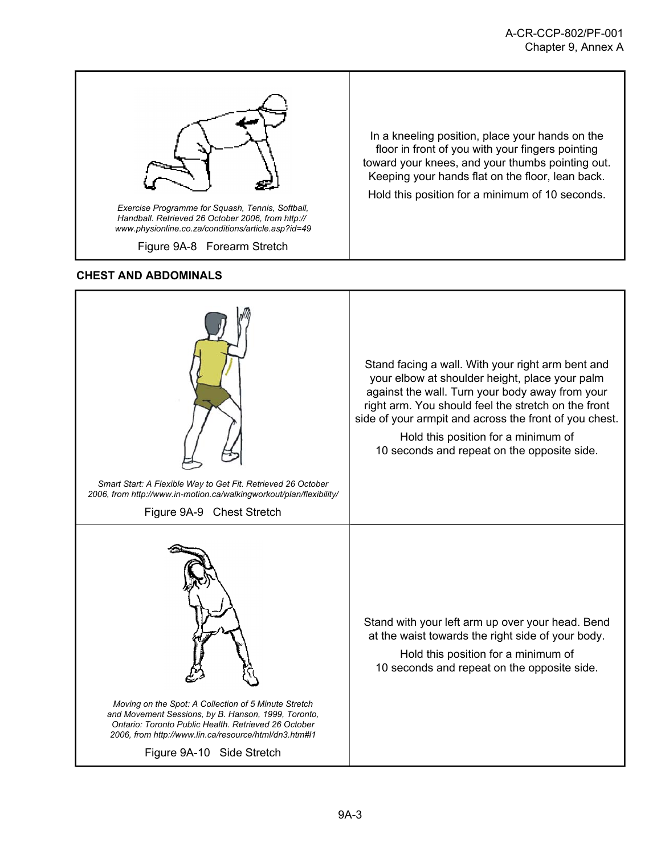

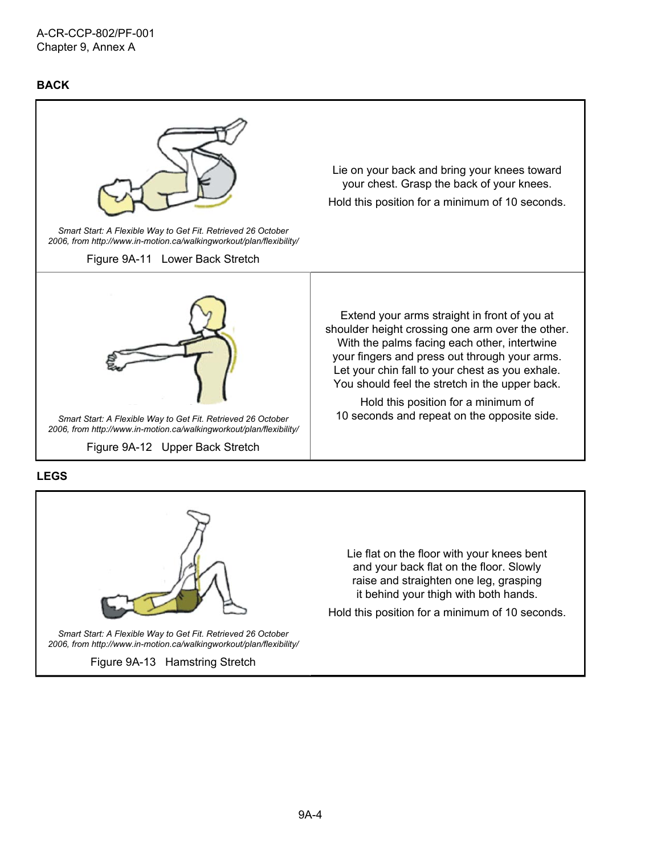#### **BACK**



#### LEGS



Figure 9A-13 Hamstring Stretch

Lie flat on the floor with your knees bent and your back flat on the floor. Slowly raise and straighten one leg, grasping it behind your thigh with both hands.

Hold this position for a minimum of 10 seconds.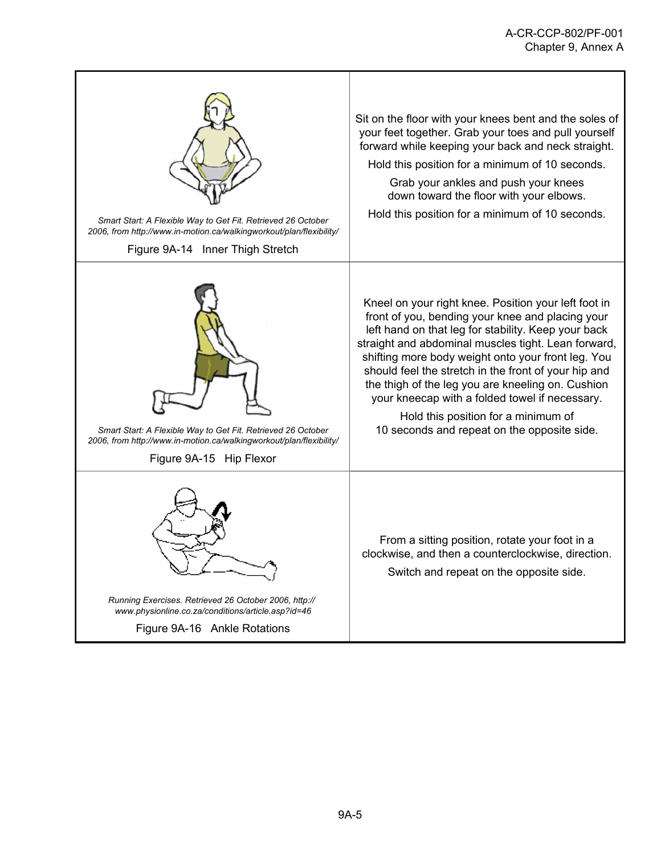#### A-CR-CCP-802/PF-001 Chapter 9, Annex A

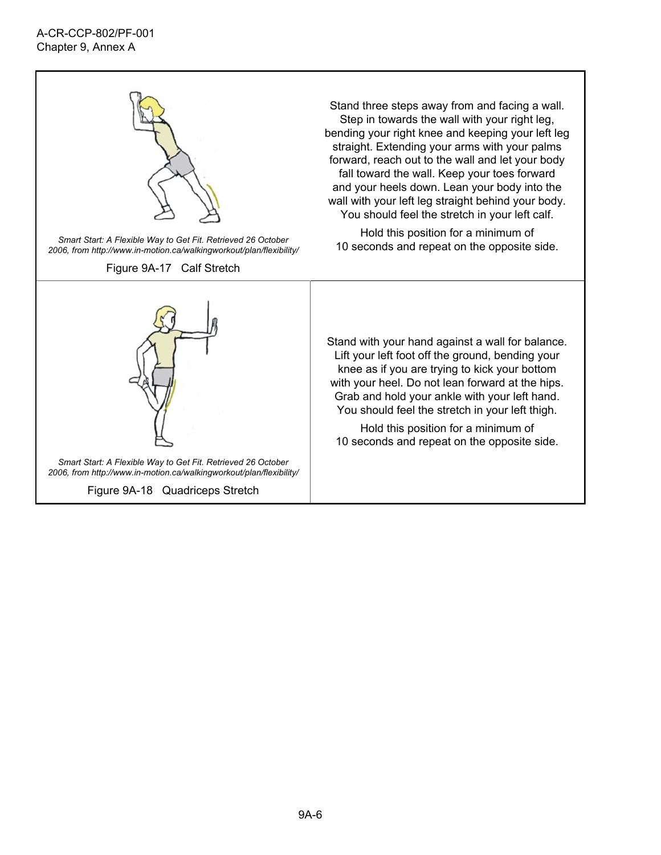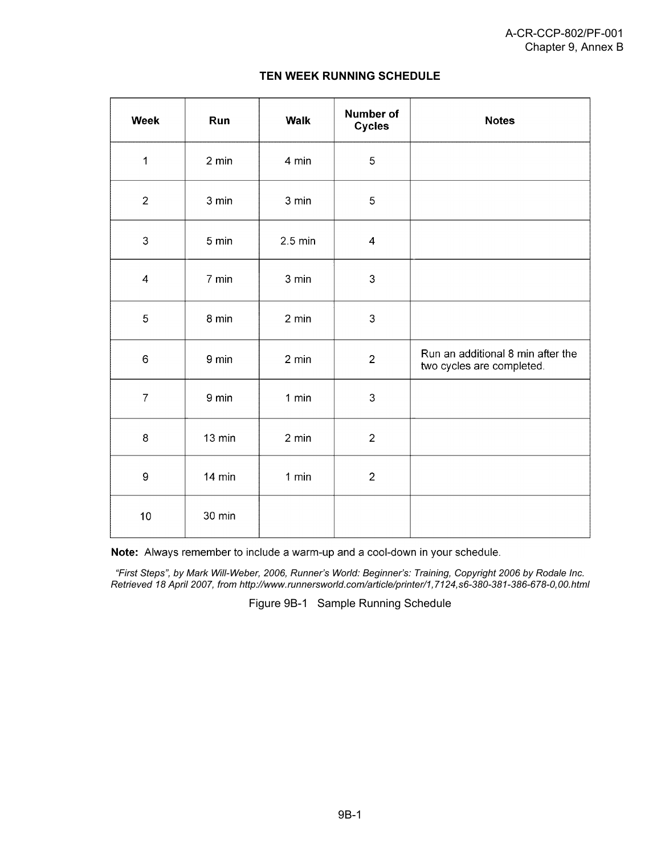| <b>Week</b>              | Run    | <b>Walk</b> | Number of<br><b>Cycles</b> | <b>Notes</b>                                                   |
|--------------------------|--------|-------------|----------------------------|----------------------------------------------------------------|
| $\mathbf 1$              | 2 min  | 4 min       | 5                          |                                                                |
| $\overline{2}$           | 3 min  | 3 min       | 5                          |                                                                |
| $\mathfrak{Z}$           | 5 min  | $2.5$ min   | 4                          |                                                                |
| $\overline{\mathcal{L}}$ | 7 min  | 3 min       | $\mathfrak{S}$             |                                                                |
| 5                        | 8 min  | 2 min       | 3                          |                                                                |
| $\,6\,$                  | 9 min  | 2 min       | $\overline{2}$             | Run an additional 8 min after the<br>two cycles are completed. |
| $\overline{7}$           | 9 min  | 1 min       | 3                          |                                                                |
| 8                        | 13 min | 2 min       | $\overline{2}$             |                                                                |
| $\mathsf g$              | 14 min | 1 min       | $\overline{2}$             |                                                                |
| 10                       | 30 min |             |                            |                                                                |

#### TEN WEEK RUNNING SCHEDULE

Note: Always remember to include a warm-up and a cool-down in your schedule.

"First Steps", by Mark Will-Weber, 2006, Runner's World: Beginner's: Training, Copyright 2006 by Rodale Inc. Retrieved 18 April 2007, from http://www.runnersworld.com/article/printer/1,7124,s6-380-381-386-678-0,00.html

Figure 9B-1 Sample Running Schedule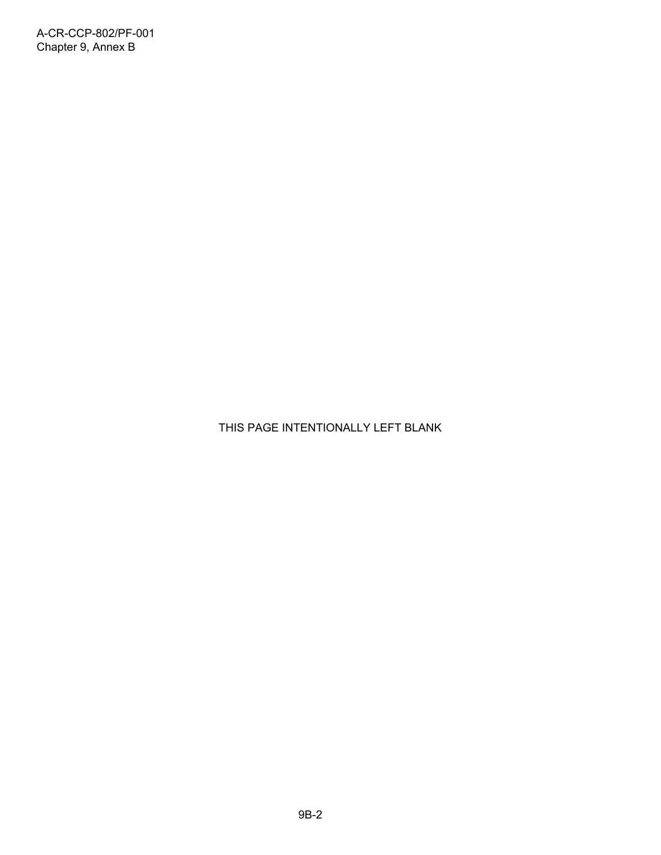THIS PAGE INTENTIONALLY LEFT BLANK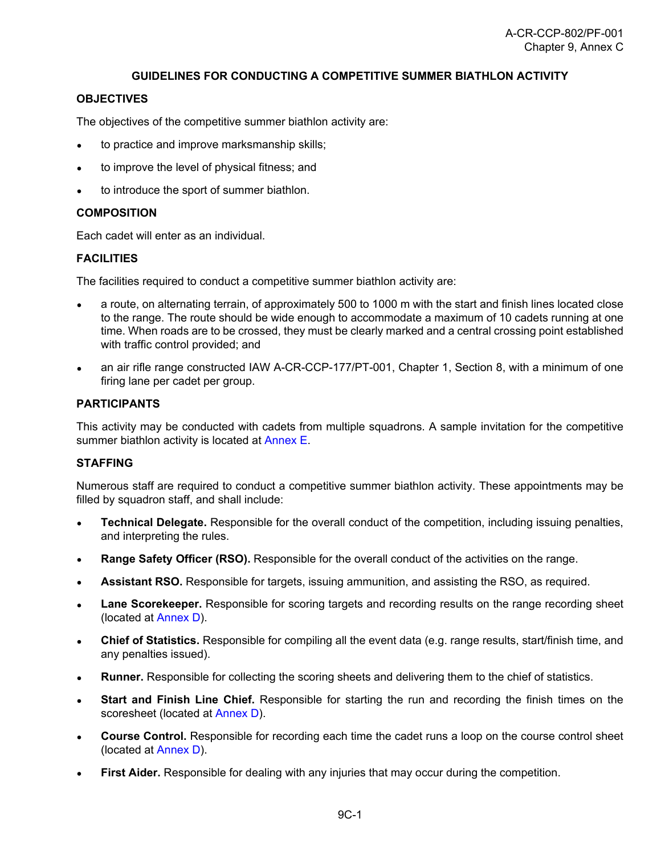#### GUIDELINES FOR CONDUCTING A COMPETITIVE SUMMER BIATHLON ACTIVITY

#### **OBJECTIVES**

The objectives of the competitive summer biathlon activity are:

- to practice and improve marksmanship skills;
- to improve the level of physical fitness; and
- to introduce the sport of summer biathlon.

#### **COMPOSITION**

Each cadet will enter as an individual.

#### FACILITIES

The facilities required to conduct a competitive summer biathlon activity are:

- a route, on alternating terrain, of approximately 500 to 1000 m with the start and finish lines located close to the range. The route should be wide enough to accommodate a maximum of 10 cadets running at one time. When roads are to be crossed, they must be clearly marked and a central crossing point established with traffic control provided; and
- an air rifle range constructed IAW A-CR-CCP-177/PT-001, Chapter 1, Section 8, with a minimum of one firing lane per cadet per group.

#### PARTICIPANTS

This activity may be conducted with cadets from multiple squadrons. A sample invitation for the competitive summer biathlon activity is located at Annex E.

#### **STAFFING**

Numerous staff are required to conduct a competitive summer biathlon activity. These appointments may be filled by squadron staff, and shall include:

- Technical Delegate. Responsible for the overall conduct of the competition, including issuing penalties, and interpreting the rules.
- Range Safety Officer (RSO). Responsible for the overall conduct of the activities on the range.
- Assistant RSO. Responsible for targets, issuing ammunition, and assisting the RSO, as required.
- Lane Scorekeeper. Responsible for scoring targets and recording results on the range recording sheet (located at Annex D).
- Chief of Statistics. Responsible for compiling all the event data (e.g. range results, start/finish time, and any penalties issued).
- Runner. Responsible for collecting the scoring sheets and delivering them to the chief of statistics.
- Start and Finish Line Chief. Responsible for starting the run and recording the finish times on the scoresheet (located at Annex D).
- Course Control. Responsible for recording each time the cadet runs a loop on the course control sheet  $\bullet$ (located at Annex D).
- First Aider. Responsible for dealing with any injuries that may occur during the competition.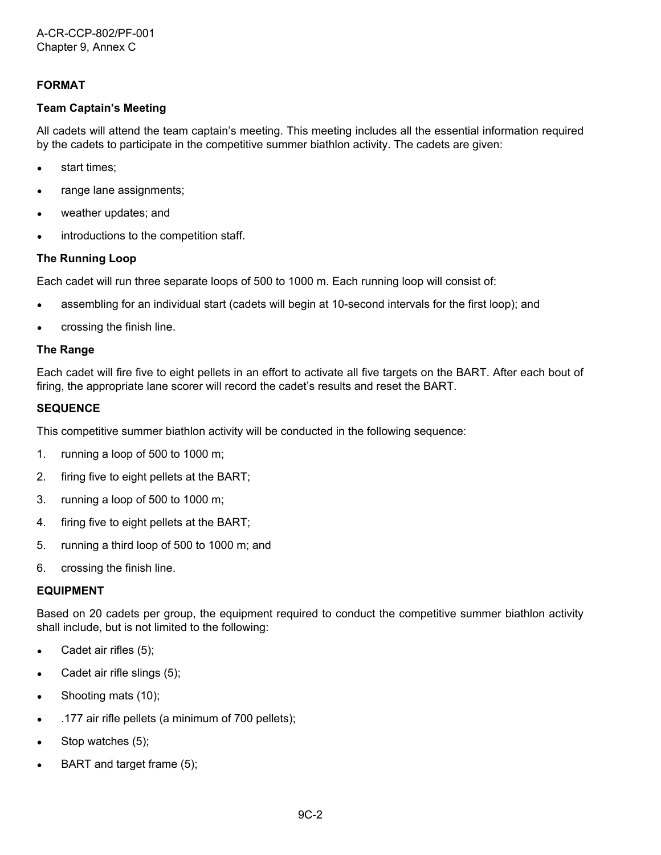#### FORMAT

#### Team Captain's Meeting

All cadets will attend the team captain's meeting. This meeting includes all the essential information required by the cadets to participate in the competitive summer biathlon activity. The cadets are given:

- start times;  $\bullet$
- range lane assignments;
- weather updates; and
- introductions to the competition staff.

#### The Running Loop

Each cadet will run three separate loops of 500 to 1000 m. Each running loop will consist of:

- assembling for an individual start (cadets will begin at 10-second intervals for the first loop); and  $\bullet$
- crossing the finish line.

#### The Range

Each cadet will fire five to eight pellets in an effort to activate all five targets on the BART. After each bout of firing, the appropriate lane scorer will record the cadet's results and reset the BART.

#### SEQUENCE

This competitive summer biathlon activity will be conducted in the following sequence:

- 1. running a loop of 500 to 1000 m;
- 2. firing five to eight pellets at the BART;
- 3. running a loop of 500 to 1000 m;
- 4. firing five to eight pellets at the BART;
- 5. running a third loop of 500 to 1000 m; and
- 6. crossing the finish line.

#### EQUIPMENT

Based on 20 cadets per group, the equipment required to conduct the competitive summer biathlon activity shall include, but is not limited to the following:

- Cadet air rifles (5);  $\bullet$
- Cadet air rifle slings (5);  $\bullet$
- Shooting mats (10);
- .177 air rifle pellets (a minimum of 700 pellets);
- Stop watches (5);
- BART and target frame (5);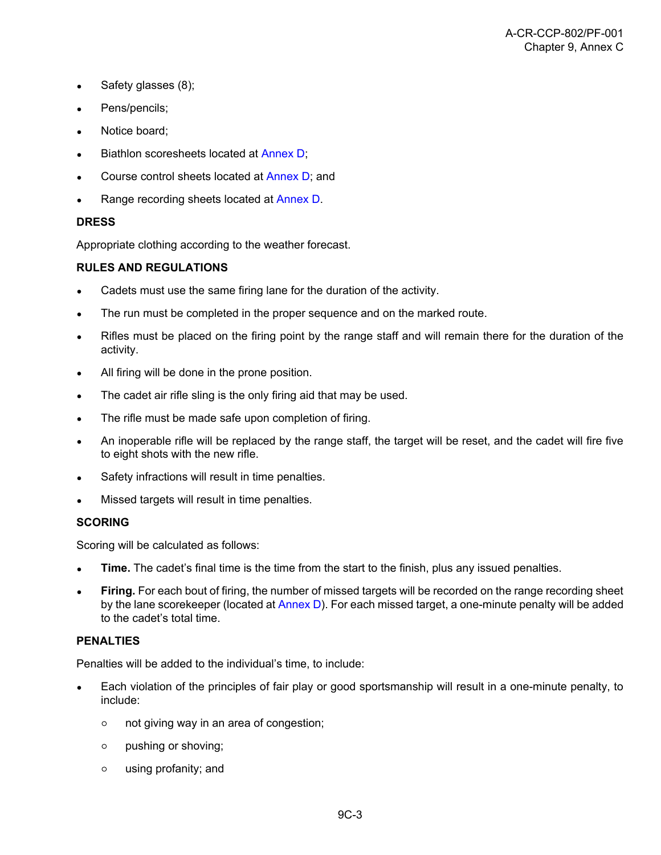- Safety glasses (8);
- Pens/pencils;
- Notice board;
- Biathlon scoresheets located at Annex D;
- Course control sheets located at Annex D; and
- Range recording sheets located at Annex D.

#### **DRESS**

Appropriate clothing according to the weather forecast.

#### RULES AND REGULATIONS

- Cadets must use the same firing lane for the duration of the activity.
- The run must be completed in the proper sequence and on the marked route.
- Rifles must be placed on the firing point by the range staff and will remain there for the duration of the activity.
- All firing will be done in the prone position.
- The cadet air rifle sling is the only firing aid that may be used.
- The rifle must be made safe upon completion of firing.
- An inoperable rifle will be replaced by the range staff, the target will be reset, and the cadet will fire five to eight shots with the new rifle.
- Safety infractions will result in time penalties.
- Missed targets will result in time penalties.

#### **SCORING**

Scoring will be calculated as follows:

- Time. The cadet's final time is the time from the start to the finish, plus any issued penalties.
- Firing. For each bout of firing, the number of missed targets will be recorded on the range recording sheet by the lane scorekeeper (located at Annex D). For each missed target, a one-minute penalty will be added to the cadet's total time.

### PENALTIES

Penalties will be added to the individual's time, to include:

- Each violation of the principles of fair play or good sportsmanship will result in a one-minute penalty, to include:
	- $\circ$ not giving way in an area of congestion;
	- $\circ$ pushing or shoving;
	- using profanity; and $\circ$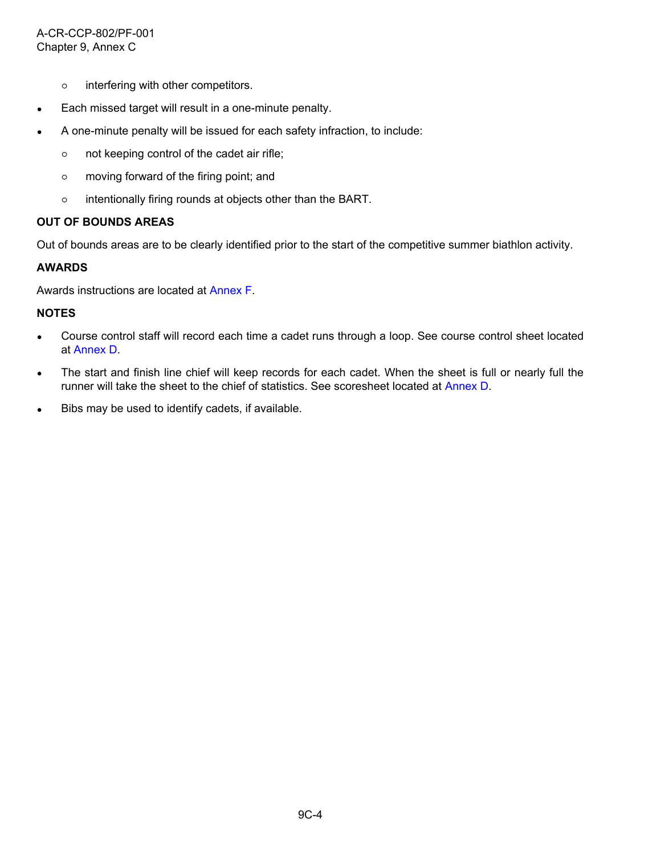- $\circ$ interfering with other competitors.
- Each missed target will result in a one-minute penalty.  $\bullet$
- A one-minute penalty will be issued for each safety infraction, to include:  $\bullet$ 
	- not keeping control of the cadet air rifle;  $\circ$
	- $\circ$ moving forward of the firing point; and
	- intentionally firing rounds at objects other than the BART.  $\circ$

#### OUT OF BOUNDS AREAS

Out of bounds areas are to be clearly identified prior to the start of the competitive summer biathlon activity.

#### AWARDS

Awards instructions are located at Annex F.

#### NOTES

- $\bullet$ Course control staff will record each time a cadet runs through a loop. See course control sheet located at Annex D.
- The start and finish line chief will keep records for each cadet. When the sheet is full or nearly full the  $\bullet$ runner will take the sheet to the chief of statistics. See scoresheet located at Annex D.
- Bibs may be used to identify cadets, if available. $\bullet$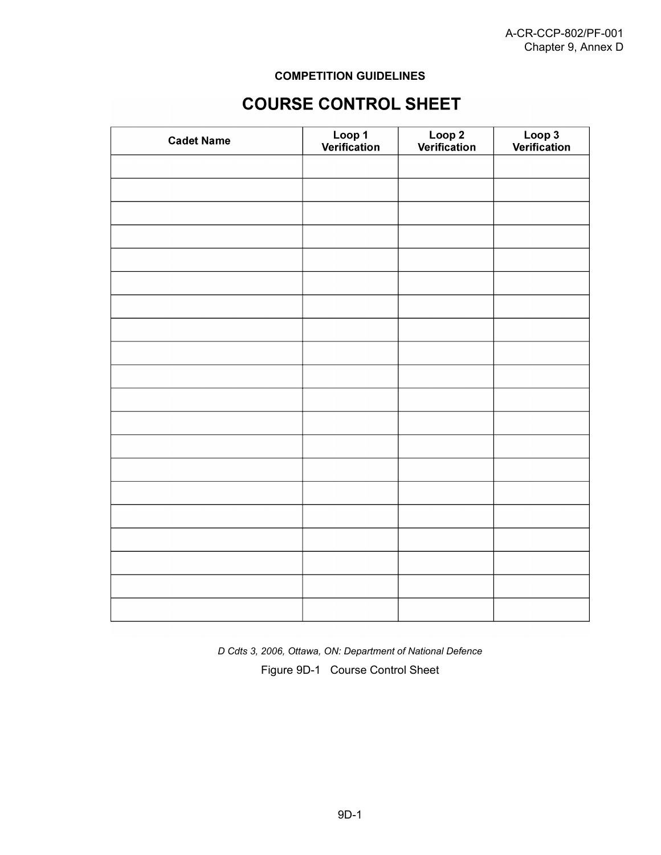#### COMPETITION GUIDELINES

## **COURSE CONTROL SHEET**

| <b>Cadet Name</b> | Loop 1<br>Verification | Loop 2<br>Verification | Loop 3<br>Verification |
|-------------------|------------------------|------------------------|------------------------|
|                   |                        |                        |                        |
|                   |                        |                        |                        |
|                   |                        |                        |                        |
|                   |                        |                        |                        |
|                   |                        |                        |                        |
|                   |                        |                        |                        |
|                   |                        |                        |                        |
|                   |                        |                        |                        |
|                   |                        |                        |                        |
|                   |                        |                        |                        |
|                   |                        |                        |                        |
|                   |                        |                        |                        |
|                   |                        |                        |                        |
|                   |                        |                        |                        |
|                   |                        |                        |                        |
|                   |                        |                        |                        |
|                   |                        |                        |                        |
|                   |                        |                        |                        |
|                   |                        |                        |                        |
|                   |                        |                        |                        |

D Cdts 3, 2006, Ottawa, ON: Department of National Defence Figure 9D-1 Course Control Sheet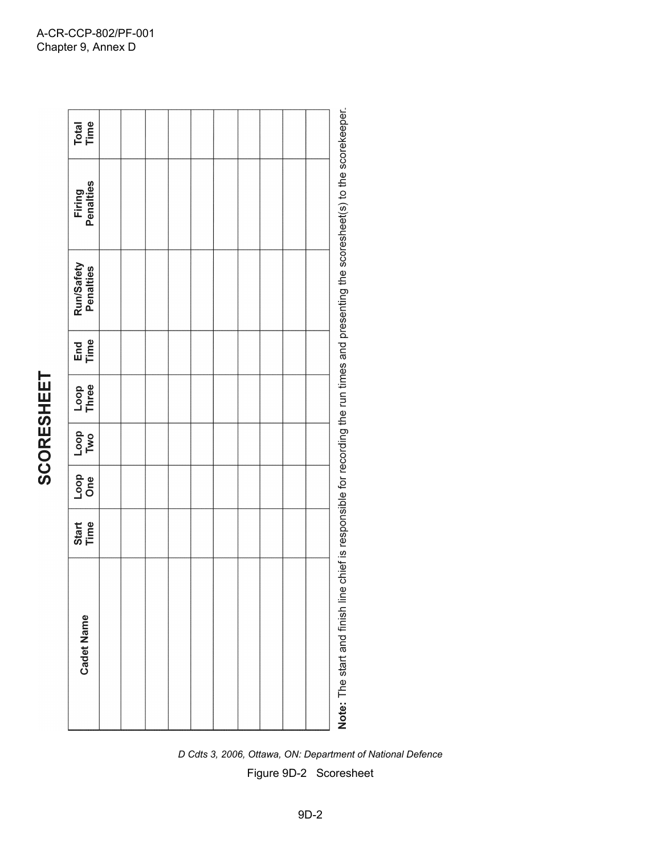| j |  |
|---|--|
|   |  |
|   |  |
|   |  |
|   |  |
|   |  |

| <b>Cadet Name</b> | Start<br>Time | Loop<br>One | Loop<br>Two | Loop<br>Three | End<br>Time | <b>Run/Safety</b><br>Penalties | Firing<br>Penalties | Total<br>Time |
|-------------------|---------------|-------------|-------------|---------------|-------------|--------------------------------|---------------------|---------------|
|                   |               |             |             |               |             |                                |                     |               |
|                   |               |             |             |               |             |                                |                     |               |
|                   |               |             |             |               |             |                                |                     |               |
|                   |               |             |             |               |             |                                |                     |               |
|                   |               |             |             |               |             |                                |                     |               |
|                   |               |             |             |               |             |                                |                     |               |
|                   |               |             |             |               |             |                                |                     |               |
|                   |               |             |             |               |             |                                |                     |               |
|                   |               |             |             |               |             |                                |                     |               |
|                   |               |             |             |               |             |                                |                     |               |

D Cdts 3, 2006, Ottawa, ON: Department of National Defence Figure 9D-2 Scoresheet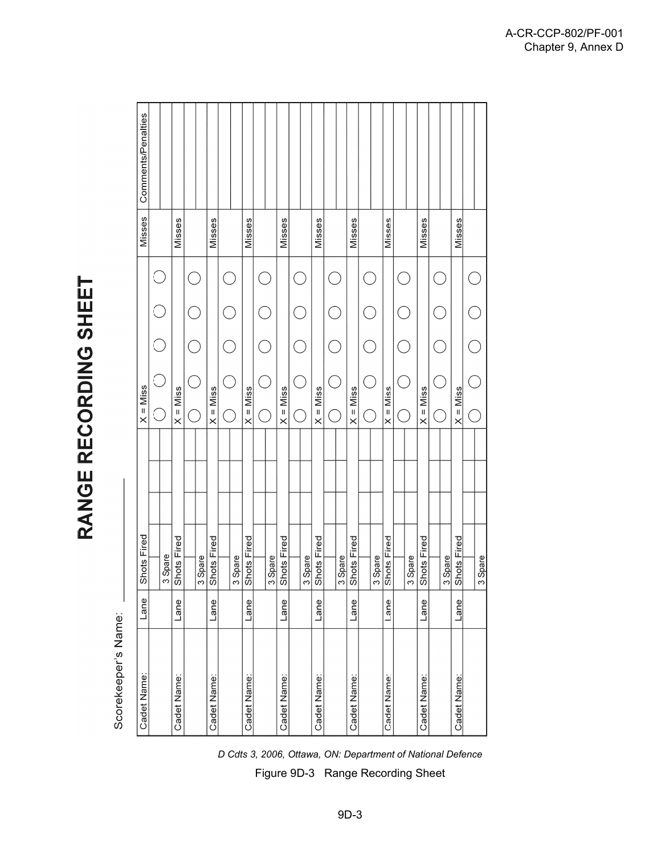Scorekeeper's Name:

RANGE RECORDING SHEET

| Cadet Name: | Lane | Shots Fired | $X =$ Miss  |                                      |            |        | Misses   Comments/Penalties |
|-------------|------|-------------|-------------|--------------------------------------|------------|--------|-----------------------------|
|             |      |             |             | $\widehat{\phantom{a}}$<br>$\bigcap$ | $\bigcirc$ |        |                             |
|             |      | 3 Spare     |             |                                      |            |        |                             |
| Cadet Name: | Lane | Shots Fired | $X =$ Miss  |                                      |            | Misses |                             |
|             |      |             |             |                                      |            |        |                             |
|             |      | 3 Spare     |             |                                      |            |        |                             |
| Cadet Name: | Lane | Shots Fired | $X =$ Miss  |                                      |            | Misses |                             |
|             |      |             | Ĩ,          |                                      |            |        |                             |
|             |      | 3 Spare     |             |                                      |            |        |                             |
| Cadet Name: | Lane | Shots Fired | $X = Miss$  |                                      |            | Misses |                             |
|             |      |             |             |                                      |            |        |                             |
|             |      | 3 Spare     |             |                                      |            |        |                             |
| Cadet Name: | Lane | Shots Fired | $X =$ Miss  |                                      |            | Misses |                             |
|             |      |             |             |                                      |            |        |                             |
|             |      | 3 Spare     |             |                                      |            |        |                             |
| Cadet Name: | Lane | Shots Fired | $X = W$ iss |                                      |            | Misses |                             |
|             |      |             |             | Ĩ.                                   |            |        |                             |
|             |      | 3 Spare     |             |                                      |            |        |                             |
| Cadet Name: | Lane | Shots Fired | $X = Miss$  |                                      |            | Misses |                             |
|             |      |             |             |                                      |            |        |                             |
|             |      | 3 Spare     |             |                                      |            |        |                             |
| Cadet Name: | Lane | Shots Fired | $X =$ Miss  |                                      |            | Misses |                             |
|             |      |             | Ť,          | r.                                   |            |        |                             |
|             |      | 3 Spare     |             |                                      |            |        |                             |
| Cadet Name: | Lane | Shots Fired | $X =$ Miss  |                                      |            | Misses |                             |
|             |      |             |             |                                      |            |        |                             |
|             |      | 3 Spare     |             |                                      |            |        |                             |
| Cadet Name: | Lane | Shots Fired | $X =$ Miss  |                                      |            | Misses |                             |
|             |      |             |             |                                      |            |        |                             |
|             |      | 3 Spare     |             |                                      |            |        |                             |

# $\perp$

A-CR-CCP-802/PF-001 Chapter 9, Annex D

D Cdts 3, 2006, Ottawa, ON: Department of National Defence Figure 9D-3 Range Recording Sheet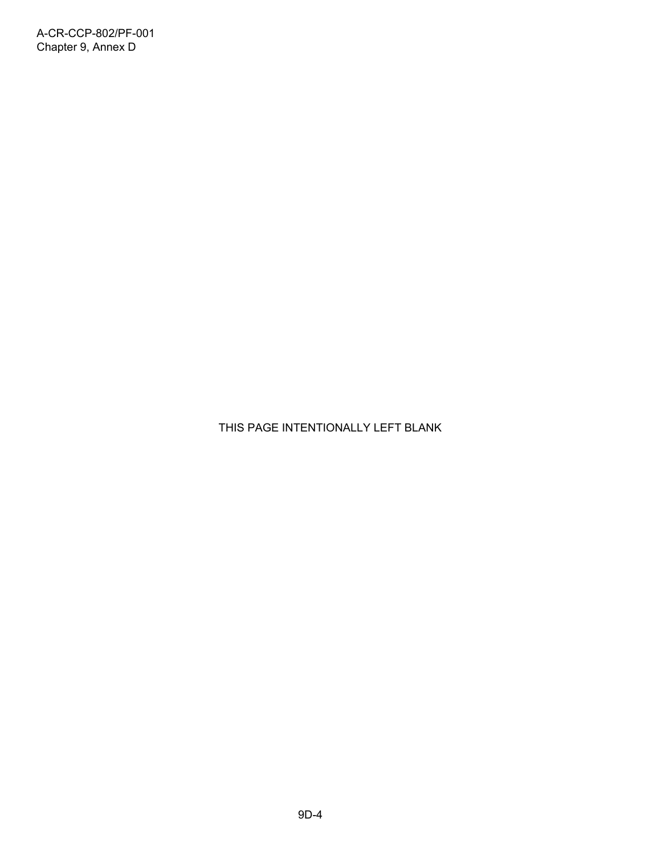THIS PAGE INTENTIONALLY LEFT BLANK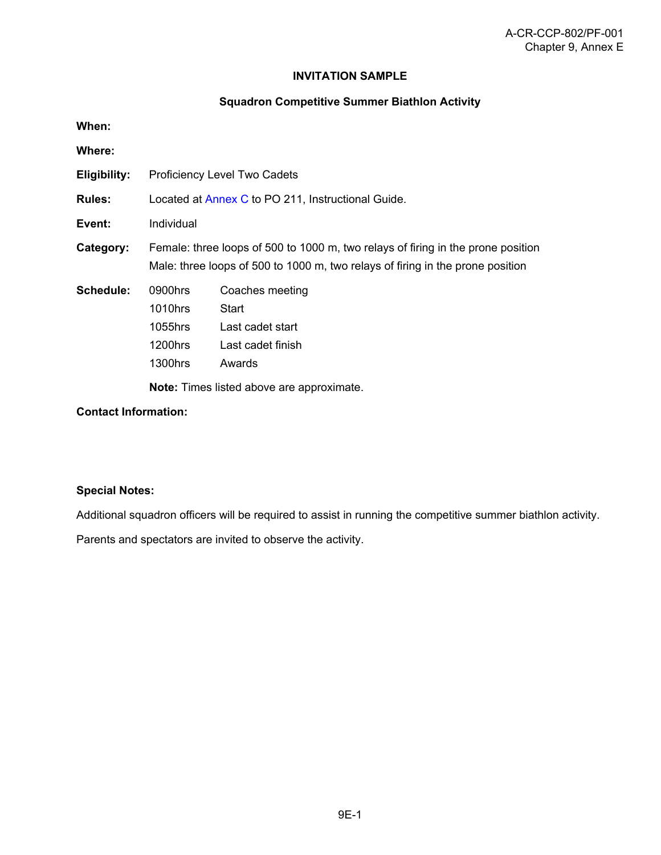#### INVITATION SAMPLE

### Squadron Competitive Summer Biathlon Activity

When:

| Where:        |                                                        |                                                                                                                                                                    |
|---------------|--------------------------------------------------------|--------------------------------------------------------------------------------------------------------------------------------------------------------------------|
| Eligibility:  |                                                        | <b>Proficiency Level Two Cadets</b>                                                                                                                                |
| <b>Rules:</b> |                                                        | Located at Annex C to PO 211, Instructional Guide.                                                                                                                 |
| Event:        | Individual                                             |                                                                                                                                                                    |
| Category:     |                                                        | Female: three loops of 500 to 1000 m, two relays of firing in the prone position<br>Male: three loops of 500 to 1000 m, two relays of firing in the prone position |
| Schedule:     | 0900hrs<br>1010hrs<br>$1055$ hrs<br>1200hrs<br>1300hrs | Coaches meeting<br>Start<br>Last cadet start<br>Last cadet finish<br>Awards<br><b>Note:</b> Times listed above are approximate.                                    |

### Contact Information:

#### Special Notes:

Additional squadron officers will be required to assist in running the competitive summer biathlon activity.

Parents and spectators are invited to observe the activity.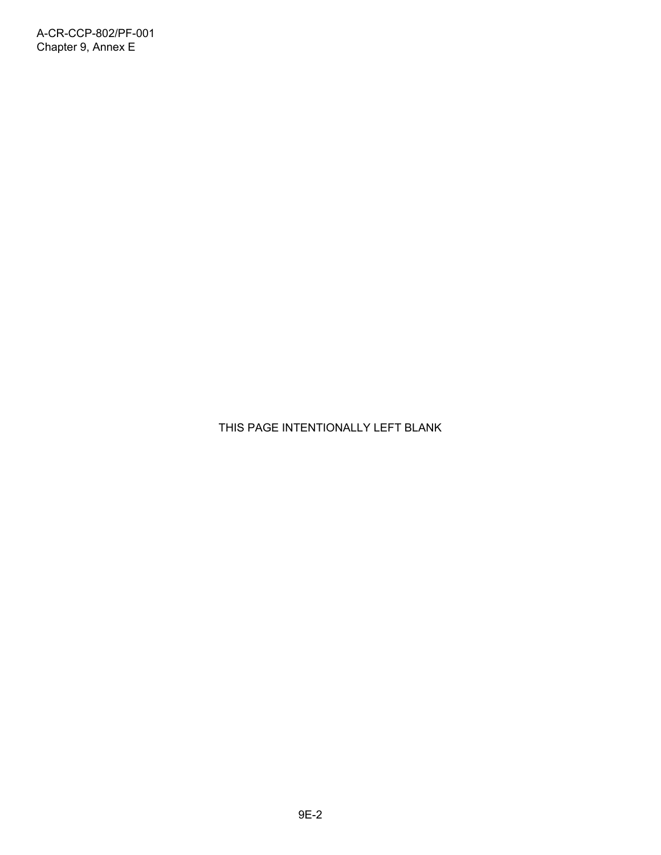THIS PAGE INTENTIONALLY LEFT BLANK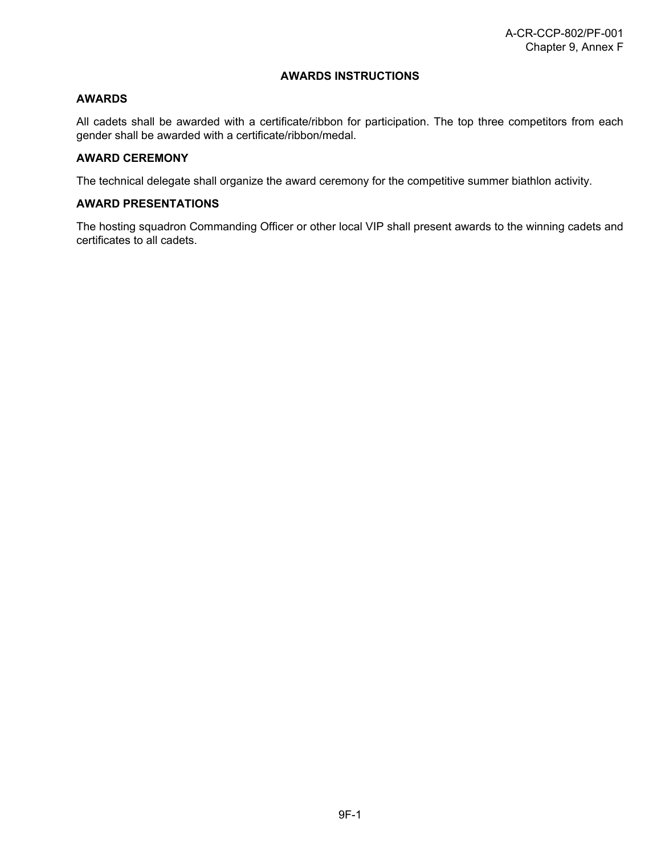#### AWARDS INSTRUCTIONS

#### AWARDS

All cadets shall be awarded with a certificate/ribbon for participation. The top three competitors from each gender shall be awarded with a certificate/ribbon/medal.

#### AWARD CEREMONY

The technical delegate shall organize the award ceremony for the competitive summer biathlon activity.

#### AWARD PRESENTATIONS

The hosting squadron Commanding Officer or other local VIP shall present awards to the winning cadets and certificates to all cadets.